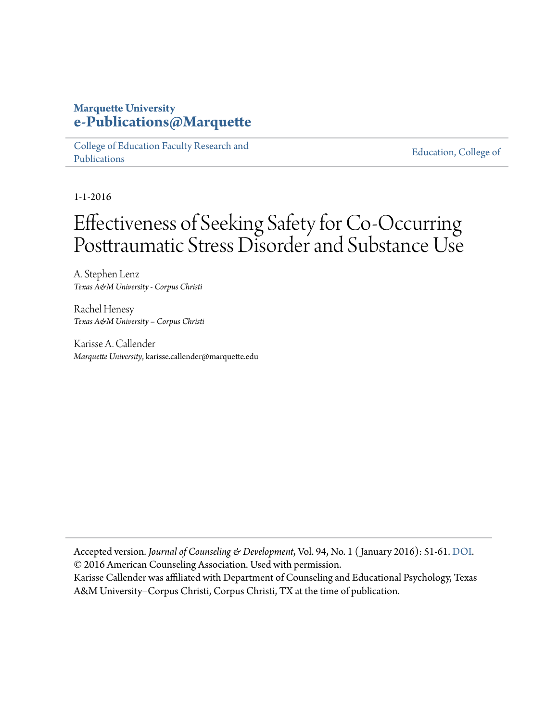## **Marquette University [e-Publications@Marquette](https://epublications.marquette.edu/)**

[College of Education Faculty Research and](https://epublications.marquette.edu/edu_fac) [Publications](https://epublications.marquette.edu/edu_fac)

[Education, College of](https://epublications.marquette.edu/education)

1-1-2016

## Effectiveness of Seeking Safety for Co-Occurring Posttraumatic Stress Disorder and Substance Use

A. Stephen Lenz *Texas A&M University - Corpus Christi*

Rachel Henesy *Texas A&M University – Corpus Christi*

Karisse A. Callender *Marquette University*, karisse.callender@marquette.edu

Accepted version. *Journal of Counseling & Development*, Vol. 94, No. 1 ( January 2016): 51-61. [DOI.](https://doi.org/10.1002/jcad.12061) © 2016 American Counseling Association. Used with permission.

Karisse Callender was affiliated with Department of Counseling and Educational Psychology, Texas A&M University–Corpus Christi, Corpus Christi, TX at the time of publication.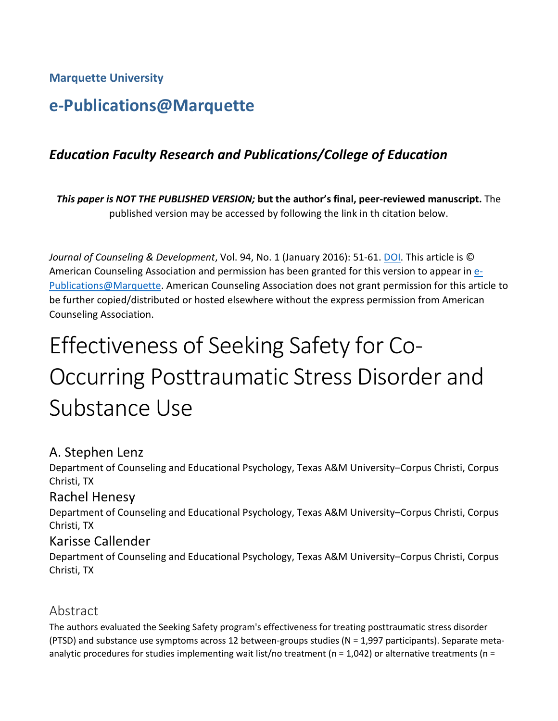**Marquette University**

## **e-Publications@Marquette**

## *Education Faculty Research and Publications/College of Education*

*This paper is NOT THE PUBLISHED VERSION;* **but the author's final, peer-reviewed manuscript.** The published version may be accessed by following the link in th citation below.

*Journal of Counseling & Development*, Vol. 94, No. 1 (January 2016): 51-61. [DOI.](https://doi.org/10.1002/jcad.12061) This article is © American Counseling Association and permission has been granted for this version to appear in [e-](http://epublications.marquette.edu/)[Publications@Marquette.](http://epublications.marquette.edu/) American Counseling Association does not grant permission for this article to be further copied/distributed or hosted elsewhere without the express permission from American Counseling Association.

# Effectiveness of Seeking Safety for Co-Occurring Posttraumatic Stress Disorder and Substance Use

#### A. Stephen Lenz

Department of Counseling and Educational Psychology, Texas A&M University–Corpus Christi, Corpus Christi, TX

#### Rachel Henesy

Department of Counseling and Educational Psychology, Texas A&M University–Corpus Christi, Corpus Christi, TX

#### Karisse Callender

Department of Counseling and Educational Psychology, Texas A&M University–Corpus Christi, Corpus Christi, TX

## Abstract

The authors evaluated the Seeking Safety program's effectiveness for treating posttraumatic stress disorder (PTSD) and substance use symptoms across 12 between‐groups studies (N = 1,997 participants). Separate meta‐ analytic procedures for studies implementing wait list/no treatment (n = 1,042) or alternative treatments (n =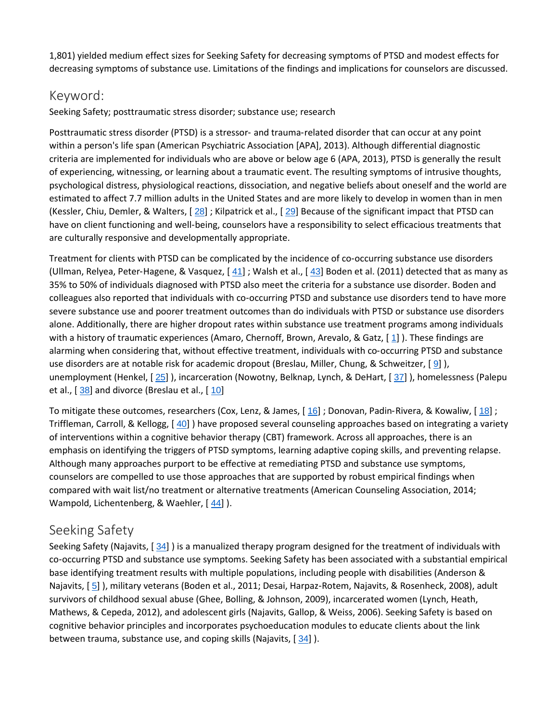1,801) yielded medium effect sizes for Seeking Safety for decreasing symptoms of PTSD and modest effects for decreasing symptoms of substance use. Limitations of the findings and implications for counselors are discussed.

#### Keyword:

Seeking Safety; posttraumatic stress disorder; substance use; research

Posttraumatic stress disorder (PTSD) is a stressor‐ and trauma‐related disorder that can occur at any point within a person's life span (American Psychiatric Association [APA], 2013). Although differential diagnostic criteria are implemented for individuals who are above or below age 6 (APA, 2013), PTSD is generally the result of experiencing, witnessing, or learning about a traumatic event. The resulting symptoms of intrusive thoughts, psychological distress, physiological reactions, dissociation, and negative beliefs about oneself and the world are estimated to affect 7.7 million adults in the United States and are more likely to develop in women than in men (Kessler, Chiu, Demler, & Walters, [ [28](https://0-web-b-ebscohost-com.libus.csd.mu.edu/ehost/detail/detail?vid=2&sid=a0101539-e968-438e-81ee-8cef89e324e5%40pdc-v-sessmgr04&bdata=JnNpdGU9ZWhvc3QtbGl2ZQ%3d%3d#bib28)] ; Kilpatrick et al., [ [29](https://0-web-b-ebscohost-com.libus.csd.mu.edu/ehost/detail/detail?vid=2&sid=a0101539-e968-438e-81ee-8cef89e324e5%40pdc-v-sessmgr04&bdata=JnNpdGU9ZWhvc3QtbGl2ZQ%3d%3d#bib29)] Because of the significant impact that PTSD can have on client functioning and well-being, counselors have a responsibility to select efficacious treatments that are culturally responsive and developmentally appropriate.

Treatment for clients with PTSD can be complicated by the incidence of co‐occurring substance use disorders (Ullman, Relyea, Peter-Hagene, & Vasquez,  $[41]$  $[41]$  $[41]$ ; Walsh et al.,  $[43]$  $[43]$  $[43]$  Boden et al. (2011) detected that as many as 35% to 50% of individuals diagnosed with PTSD also meet the criteria for a substance use disorder. Boden and colleagues also reported that individuals with co‐occurring PTSD and substance use disorders tend to have more severe substance use and poorer treatment outcomes than do individuals with PTSD or substance use disorders alone. Additionally, there are higher dropout rates within substance use treatment programs among individuals with a history of traumatic experiences (Amaro, Chernoff, Brown, Arevalo, & Gatz, [[1](https://0-web-b-ebscohost-com.libus.csd.mu.edu/ehost/detail/detail?vid=2&sid=a0101539-e968-438e-81ee-8cef89e324e5%40pdc-v-sessmgr04&bdata=JnNpdGU9ZWhvc3QtbGl2ZQ%3d%3d#bib1)]). These findings are alarming when considering that, without effective treatment, individuals with co‐occurring PTSD and substance use disorders are at notable risk for academic dropout (Breslau, Miller, Chung, & Schweitzer,  $[9]$  $[9]$  $[9]$ ), unemployment (Henkel, [ [25](https://0-web-b-ebscohost-com.libus.csd.mu.edu/ehost/detail/detail?vid=2&sid=a0101539-e968-438e-81ee-8cef89e324e5%40pdc-v-sessmgr04&bdata=JnNpdGU9ZWhvc3QtbGl2ZQ%3d%3d#bib25)] ), incarceration (Nowotny, Belknap, Lynch, & DeHart, [ [37](https://0-web-b-ebscohost-com.libus.csd.mu.edu/ehost/detail/detail?vid=2&sid=a0101539-e968-438e-81ee-8cef89e324e5%40pdc-v-sessmgr04&bdata=JnNpdGU9ZWhvc3QtbGl2ZQ%3d%3d#bib37)] ), homelessness (Palepu et al., [[38](https://0-web-b-ebscohost-com.libus.csd.mu.edu/ehost/detail/detail?vid=2&sid=a0101539-e968-438e-81ee-8cef89e324e5%40pdc-v-sessmgr04&bdata=JnNpdGU9ZWhvc3QtbGl2ZQ%3d%3d#bib38)] and divorce (Breslau et al., [[10](https://0-web-b-ebscohost-com.libus.csd.mu.edu/ehost/detail/detail?vid=2&sid=a0101539-e968-438e-81ee-8cef89e324e5%40pdc-v-sessmgr04&bdata=JnNpdGU9ZWhvc3QtbGl2ZQ%3d%3d#bib10)]

To mitigate these outcomes, researchers (Cox, Lenz, & James, [ [16](https://0-web-b-ebscohost-com.libus.csd.mu.edu/ehost/detail/detail?vid=2&sid=a0101539-e968-438e-81ee-8cef89e324e5%40pdc-v-sessmgr04&bdata=JnNpdGU9ZWhvc3QtbGl2ZQ%3d%3d#bib16)] ; Donovan, Padin‐Rivera, & Kowaliw, [ [18](https://0-web-b-ebscohost-com.libus.csd.mu.edu/ehost/detail/detail?vid=2&sid=a0101539-e968-438e-81ee-8cef89e324e5%40pdc-v-sessmgr04&bdata=JnNpdGU9ZWhvc3QtbGl2ZQ%3d%3d#bib18)] ; Triffleman, Carroll, & Kellogg, [ [40](https://0-web-b-ebscohost-com.libus.csd.mu.edu/ehost/detail/detail?vid=2&sid=a0101539-e968-438e-81ee-8cef89e324e5%40pdc-v-sessmgr04&bdata=JnNpdGU9ZWhvc3QtbGl2ZQ%3d%3d#bib40)] ) have proposed several counseling approaches based on integrating a variety of interventions within a cognitive behavior therapy (CBT) framework. Across all approaches, there is an emphasis on identifying the triggers of PTSD symptoms, learning adaptive coping skills, and preventing relapse. Although many approaches purport to be effective at remediating PTSD and substance use symptoms, counselors are compelled to use those approaches that are supported by robust empirical findings when compared with wait list/no treatment or alternative treatments (American Counseling Association, 2014; Wampold, Lichentenberg, & Waehler, [[44](https://0-web-b-ebscohost-com.libus.csd.mu.edu/ehost/detail/detail?vid=2&sid=a0101539-e968-438e-81ee-8cef89e324e5%40pdc-v-sessmgr04&bdata=JnNpdGU9ZWhvc3QtbGl2ZQ%3d%3d#bib44)]).

## [Seeking Safety](https://0-web-b-ebscohost-com.libus.csd.mu.edu/ehost/detail/detail?vid=2&sid=a0101539-e968-438e-81ee-8cef89e324e5%40pdc-v-sessmgr04&bdata=JnNpdGU9ZWhvc3QtbGl2ZQ%3d%3d#toc)

Seeking Safety (Najavits, [ [34](https://0-web-b-ebscohost-com.libus.csd.mu.edu/ehost/detail/detail?vid=2&sid=a0101539-e968-438e-81ee-8cef89e324e5%40pdc-v-sessmgr04&bdata=JnNpdGU9ZWhvc3QtbGl2ZQ%3d%3d#bib34)] ) is a manualized therapy program designed for the treatment of individuals with co‐occurring PTSD and substance use symptoms. Seeking Safety has been associated with a substantial empirical base identifying treatment results with multiple populations, including people with disabilities (Anderson & Najavits, [[5](https://0-web-b-ebscohost-com.libus.csd.mu.edu/ehost/detail/detail?vid=2&sid=a0101539-e968-438e-81ee-8cef89e324e5%40pdc-v-sessmgr04&bdata=JnNpdGU9ZWhvc3QtbGl2ZQ%3d%3d#bib5)]), military veterans (Boden et al., 2011; Desai, Harpaz-Rotem, Najavits, & Rosenheck, 2008), adult survivors of childhood sexual abuse (Ghee, Bolling, & Johnson, 2009), incarcerated women (Lynch, Heath, Mathews, & Cepeda, 2012), and adolescent girls (Najavits, Gallop, & Weiss, 2006). Seeking Safety is based on cognitive behavior principles and incorporates psychoeducation modules to educate clients about the link between trauma, substance use, and coping skills (Najavits,  $[34]$  $[34]$  $[34]$ ).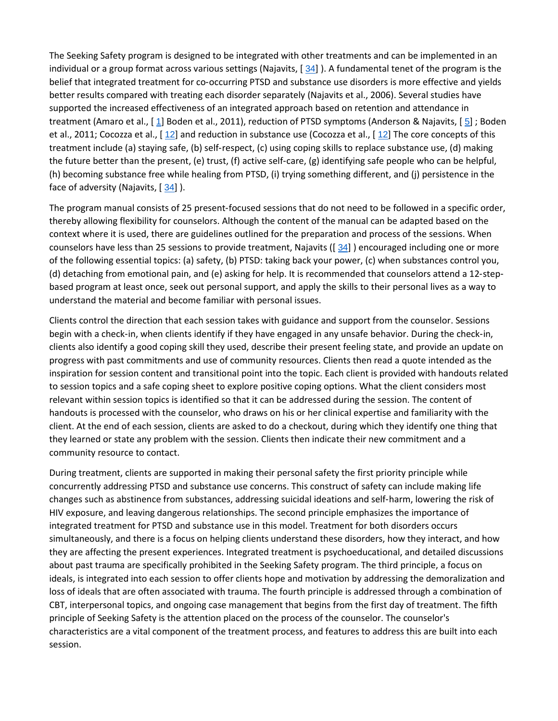The Seeking Safety program is designed to be integrated with other treatments and can be implemented in an individual or a group format across various settings (Najavits,  $[34]$  $[34]$  $[34]$ ). A fundamental tenet of the program is the belief that integrated treatment for co‐occurring PTSD and substance use disorders is more effective and yields better results compared with treating each disorder separately (Najavits et al., 2006). Several studies have supported the increased effectiveness of an integrated approach based on retention and attendance in treatment (Amaro et al., [ [1](https://0-web-b-ebscohost-com.libus.csd.mu.edu/ehost/detail/detail?vid=2&sid=a0101539-e968-438e-81ee-8cef89e324e5%40pdc-v-sessmgr04&bdata=JnNpdGU9ZWhvc3QtbGl2ZQ%3d%3d#bib1)] Boden et al., 2011), reduction of PTSD symptoms (Anderson & Najavits, [ [5](https://0-web-b-ebscohost-com.libus.csd.mu.edu/ehost/detail/detail?vid=2&sid=a0101539-e968-438e-81ee-8cef89e324e5%40pdc-v-sessmgr04&bdata=JnNpdGU9ZWhvc3QtbGl2ZQ%3d%3d#bib5)] ; Boden et al., 2011; Cocozza et al., [[12](https://0-web-b-ebscohost-com.libus.csd.mu.edu/ehost/detail/detail?vid=2&sid=a0101539-e968-438e-81ee-8cef89e324e5%40pdc-v-sessmgr04&bdata=JnNpdGU9ZWhvc3QtbGl2ZQ%3d%3d#bib12)] and reduction in substance use (Cocozza et al., [12] The core concepts of this treatment include (a) staying safe, (b) self-respect, (c) using coping skills to replace substance use, (d) making the future better than the present, (e) trust, (f) active self‐care, (g) identifying safe people who can be helpful, (h) becoming substance free while healing from PTSD, (i) trying something different, and (j) persistence in the face of adversity (Najavits,  $\left[\frac{34}{ } \right]$  $\left[\frac{34}{ } \right]$  $\left[\frac{34}{ } \right]$ ).

The program manual consists of 25 present‐focused sessions that do not need to be followed in a specific order, thereby allowing flexibility for counselors. Although the content of the manual can be adapted based on the context where it is used, there are guidelines outlined for the preparation and process of the sessions. When counselors have less than 25 sessions to provide treatment, Najavits ([ [34](https://0-web-b-ebscohost-com.libus.csd.mu.edu/ehost/detail/detail?vid=2&sid=a0101539-e968-438e-81ee-8cef89e324e5%40pdc-v-sessmgr04&bdata=JnNpdGU9ZWhvc3QtbGl2ZQ%3d%3d#bib34)] ) encouraged including one or more of the following essential topics: (a) safety, (b) PTSD: taking back your power, (c) when substances control you, (d) detaching from emotional pain, and (e) asking for help. It is recommended that counselors attend a 12‐step‐ based program at least once, seek out personal support, and apply the skills to their personal lives as a way to understand the material and become familiar with personal issues.

Clients control the direction that each session takes with guidance and support from the counselor. Sessions begin with a check‐in, when clients identify if they have engaged in any unsafe behavior. During the check‐in, clients also identify a good coping skill they used, describe their present feeling state, and provide an update on progress with past commitments and use of community resources. Clients then read a quote intended as the inspiration for session content and transitional point into the topic. Each client is provided with handouts related to session topics and a safe coping sheet to explore positive coping options. What the client considers most relevant within session topics is identified so that it can be addressed during the session. The content of handouts is processed with the counselor, who draws on his or her clinical expertise and familiarity with the client. At the end of each session, clients are asked to do a checkout, during which they identify one thing that they learned or state any problem with the session. Clients then indicate their new commitment and a community resource to contact.

During treatment, clients are supported in making their personal safety the first priority principle while concurrently addressing PTSD and substance use concerns. This construct of safety can include making life changes such as abstinence from substances, addressing suicidal ideations and self‐harm, lowering the risk of HIV exposure, and leaving dangerous relationships. The second principle emphasizes the importance of integrated treatment for PTSD and substance use in this model. Treatment for both disorders occurs simultaneously, and there is a focus on helping clients understand these disorders, how they interact, and how they are affecting the present experiences. Integrated treatment is psychoeducational, and detailed discussions about past trauma are specifically prohibited in the Seeking Safety program. The third principle, a focus on ideals, is integrated into each session to offer clients hope and motivation by addressing the demoralization and loss of ideals that are often associated with trauma. The fourth principle is addressed through a combination of CBT, interpersonal topics, and ongoing case management that begins from the first day of treatment. The fifth principle of Seeking Safety is the attention placed on the process of the counselor. The counselor's characteristics are a vital component of the treatment process, and features to address this are built into each session.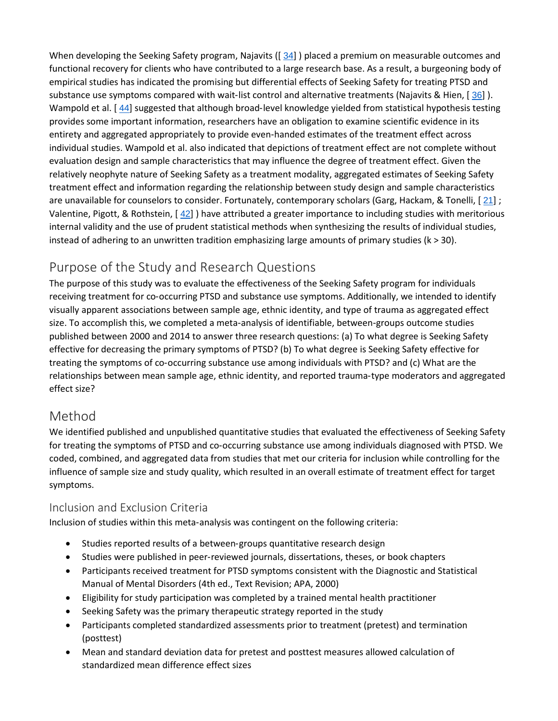When developing the Seeking Safety program, Najavits  $(34)$  $(34)$  $(34)$  ) placed a premium on measurable outcomes and functional recovery for clients who have contributed to a large research base. As a result, a burgeoning body of empirical studies has indicated the promising but differential effects of Seeking Safety for treating PTSD and substance use symptoms compared with wait-list control and alternative treatments (Najavits & Hien, [[36](https://0-web-b-ebscohost-com.libus.csd.mu.edu/ehost/detail/detail?vid=2&sid=a0101539-e968-438e-81ee-8cef89e324e5%40pdc-v-sessmgr04&bdata=JnNpdGU9ZWhvc3QtbGl2ZQ%3d%3d#bib36)]). Wampold et al. [[44](https://0-web-b-ebscohost-com.libus.csd.mu.edu/ehost/detail/detail?vid=2&sid=a0101539-e968-438e-81ee-8cef89e324e5%40pdc-v-sessmgr04&bdata=JnNpdGU9ZWhvc3QtbGl2ZQ%3d%3d#bib44)] suggested that although broad-level knowledge yielded from statistical hypothesis testing provides some important information, researchers have an obligation to examine scientific evidence in its entirety and aggregated appropriately to provide even‐handed estimates of the treatment effect across individual studies. Wampold et al. also indicated that depictions of treatment effect are not complete without evaluation design and sample characteristics that may influence the degree of treatment effect. Given the relatively neophyte nature of Seeking Safety as a treatment modality, aggregated estimates of Seeking Safety treatment effect and information regarding the relationship between study design and sample characteristics are unavailable for counselors to consider. Fortunately, contemporary scholars (Garg, Hackam, & Tonelli, [ [21](https://0-web-b-ebscohost-com.libus.csd.mu.edu/ehost/detail/detail?vid=2&sid=a0101539-e968-438e-81ee-8cef89e324e5%40pdc-v-sessmgr04&bdata=JnNpdGU9ZWhvc3QtbGl2ZQ%3d%3d#bib21)] ; Valentine, Pigott, & Rothstein, [ [42](https://0-web-b-ebscohost-com.libus.csd.mu.edu/ehost/detail/detail?vid=2&sid=a0101539-e968-438e-81ee-8cef89e324e5%40pdc-v-sessmgr04&bdata=JnNpdGU9ZWhvc3QtbGl2ZQ%3d%3d#bib42)] ) have attributed a greater importance to including studies with meritorious internal validity and the use of prudent statistical methods when synthesizing the results of individual studies, instead of adhering to an unwritten tradition emphasizing large amounts of primary studies ( $k > 30$ ).

## [Purpose of the Study and Research Questions](https://0-web-b-ebscohost-com.libus.csd.mu.edu/ehost/detail/detail?vid=2&sid=a0101539-e968-438e-81ee-8cef89e324e5%40pdc-v-sessmgr04&bdata=JnNpdGU9ZWhvc3QtbGl2ZQ%3d%3d#toc)

The purpose of this study was to evaluate the effectiveness of the Seeking Safety program for individuals receiving treatment for co‐occurring PTSD and substance use symptoms. Additionally, we intended to identify visually apparent associations between sample age, ethnic identity, and type of trauma as aggregated effect size. To accomplish this, we completed a meta-analysis of identifiable, between-groups outcome studies published between 2000 and 2014 to answer three research questions: (a) To what degree is Seeking Safety effective for decreasing the primary symptoms of PTSD? (b) To what degree is Seeking Safety effective for treating the symptoms of co‐occurring substance use among individuals with PTSD? and (c) What are the relationships between mean sample age, ethnic identity, and reported trauma‐type moderators and aggregated effect size?

## [Method](https://0-web-b-ebscohost-com.libus.csd.mu.edu/ehost/detail/detail?vid=2&sid=a0101539-e968-438e-81ee-8cef89e324e5%40pdc-v-sessmgr04&bdata=JnNpdGU9ZWhvc3QtbGl2ZQ%3d%3d#toc)

We identified published and unpublished quantitative studies that evaluated the effectiveness of Seeking Safety for treating the symptoms of PTSD and co-occurring substance use among individuals diagnosed with PTSD. We coded, combined, and aggregated data from studies that met our criteria for inclusion while controlling for the influence of sample size and study quality, which resulted in an overall estimate of treatment effect for target symptoms.

#### [Inclusion and Exclusion Criteria](https://0-web-b-ebscohost-com.libus.csd.mu.edu/ehost/detail/detail?vid=2&sid=a0101539-e968-438e-81ee-8cef89e324e5%40pdc-v-sessmgr04&bdata=JnNpdGU9ZWhvc3QtbGl2ZQ%3d%3d#toc)

Inclusion of studies within this meta‐analysis was contingent on the following criteria:

- Studies reported results of a between‐groups quantitative research design
- Studies were published in peer-reviewed journals, dissertations, theses, or book chapters
- Participants received treatment for PTSD symptoms consistent with the Diagnostic and Statistical Manual of Mental Disorders (4th ed., Text Revision; APA, 2000)
- Eligibility for study participation was completed by a trained mental health practitioner
- Seeking Safety was the primary therapeutic strategy reported in the study
- Participants completed standardized assessments prior to treatment (pretest) and termination (posttest)
- Mean and standard deviation data for pretest and posttest measures allowed calculation of standardized mean difference effect sizes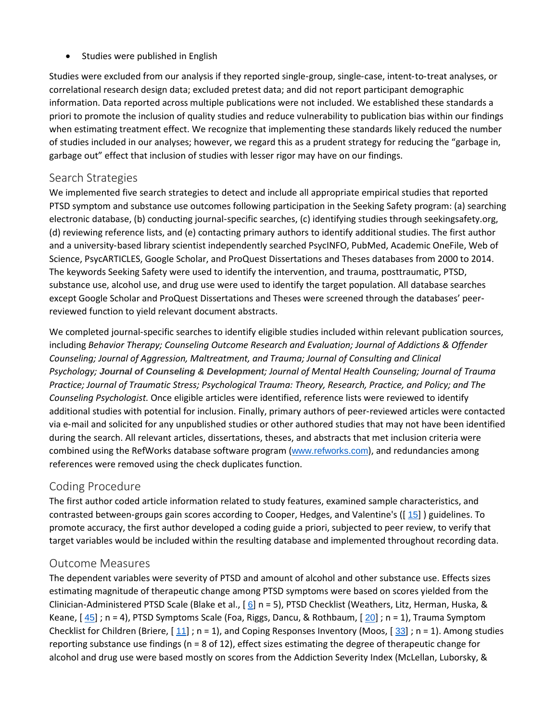Studies were published in English

Studies were excluded from our analysis if they reported single‐group, single‐case, intent‐to‐treat analyses, or correlational research design data; excluded pretest data; and did not report participant demographic information. Data reported across multiple publications were not included. We established these standards a priori to promote the inclusion of quality studies and reduce vulnerability to publication bias within our findings when estimating treatment effect. We recognize that implementing these standards likely reduced the number of studies included in our analyses; however, we regard this as a prudent strategy for reducing the "garbage in, garbage out" effect that inclusion of studies with lesser rigor may have on our findings.

#### [Search Strategies](https://0-web-b-ebscohost-com.libus.csd.mu.edu/ehost/detail/detail?vid=2&sid=a0101539-e968-438e-81ee-8cef89e324e5%40pdc-v-sessmgr04&bdata=JnNpdGU9ZWhvc3QtbGl2ZQ%3d%3d#toc)

We implemented five search strategies to detect and include all appropriate empirical studies that reported PTSD symptom and substance use outcomes following participation in the Seeking Safety program: (a) searching electronic database, (b) conducting journal‐specific searches, (c) identifying studies through seekingsafety.org, (d) reviewing reference lists, and (e) contacting primary authors to identify additional studies. The first author and a university-based library scientist independently searched PsycINFO, PubMed, Academic OneFile, Web of Science, PsycARTICLES, Google Scholar, and ProQuest Dissertations and Theses databases from 2000 to 2014. The keywords Seeking Safety were used to identify the intervention, and trauma, posttraumatic, PTSD, substance use, alcohol use, and drug use were used to identify the target population. All database searches except Google Scholar and ProQuest Dissertations and Theses were screened through the databases' peer‐ reviewed function to yield relevant document abstracts.

We completed journal-specific searches to identify eligible studies included within relevant publication sources, including *Behavior Therapy; Counseling Outcome Research and Evaluation; Journal of Addictions & Offender Counseling; Journal of Aggression, Maltreatment, and Trauma; Journal of Consulting and Clinical Psychology; Journal of Counseling & Development; Journal of Mental Health Counseling; Journal of Trauma Practice; Journal of Traumatic Stress; Psychological Trauma: Theory, Research, Practice, and Policy; and The Counseling Psychologist.* Once eligible articles were identified, reference lists were reviewed to identify additional studies with potential for inclusion. Finally, primary authors of peer-reviewed articles were contacted via e‐mail and solicited for any unpublished studies or other authored studies that may not have been identified during the search. All relevant articles, dissertations, theses, and abstracts that met inclusion criteria were combined using the RefWorks database software program ([www.refworks.com](http://0-www.refworks.com.libus.csd.mu.edu/)), and redundancies among references were removed using the check duplicates function.

#### Coding [Procedure](https://0-web-b-ebscohost-com.libus.csd.mu.edu/ehost/detail/detail?vid=2&sid=a0101539-e968-438e-81ee-8cef89e324e5%40pdc-v-sessmgr04&bdata=JnNpdGU9ZWhvc3QtbGl2ZQ%3d%3d#toc)

The first author coded article information related to study features, examined sample characteristics, and contrasted between‐groups gain scores according to Cooper, Hedges, and Valentine's ([ [15](https://0-web-b-ebscohost-com.libus.csd.mu.edu/ehost/detail/detail?vid=2&sid=a0101539-e968-438e-81ee-8cef89e324e5%40pdc-v-sessmgr04&bdata=JnNpdGU9ZWhvc3QtbGl2ZQ%3d%3d#bib15)] ) guidelines. To promote accuracy, the first author developed a coding guide a priori, subjected to peer review, to verify that target variables would be included within the resulting database and implemented throughout recording data.

#### [Outcome Measures](https://0-web-b-ebscohost-com.libus.csd.mu.edu/ehost/detail/detail?vid=2&sid=a0101539-e968-438e-81ee-8cef89e324e5%40pdc-v-sessmgr04&bdata=JnNpdGU9ZWhvc3QtbGl2ZQ%3d%3d#toc)

The dependent variables were severity of PTSD and amount of alcohol and other substance use. Effects sizes estimating magnitude of therapeutic change among PTSD symptoms were based on scores yielded from the Clinician‐Administered PTSD Scale (Blake et al., [ [6](https://0-web-b-ebscohost-com.libus.csd.mu.edu/ehost/detail/detail?vid=2&sid=a0101539-e968-438e-81ee-8cef89e324e5%40pdc-v-sessmgr04&bdata=JnNpdGU9ZWhvc3QtbGl2ZQ%3d%3d#bib6)] n = 5), PTSD Checklist (Weathers, Litz, Herman, Huska, & Keane,  $[45]$  $[45]$  $[45]$ ; n = 4), PTSD Symptoms Scale (Foa, Riggs, Dancu, & Rothbaum,  $[20]$  $[20]$  $[20]$ ; n = 1), Trauma Symptom Checklist for Children (Briere,  $[11]$  $[11]$  $[11]$ ; n = 1), and Coping Responses Inventory (Moos,  $[33]$  $[33]$  $[33]$ ; n = 1). Among studies reporting substance use findings (n = 8 of 12), effect sizes estimating the degree of therapeutic change for alcohol and drug use were based mostly on scores from the Addiction Severity Index (McLellan, Luborsky, &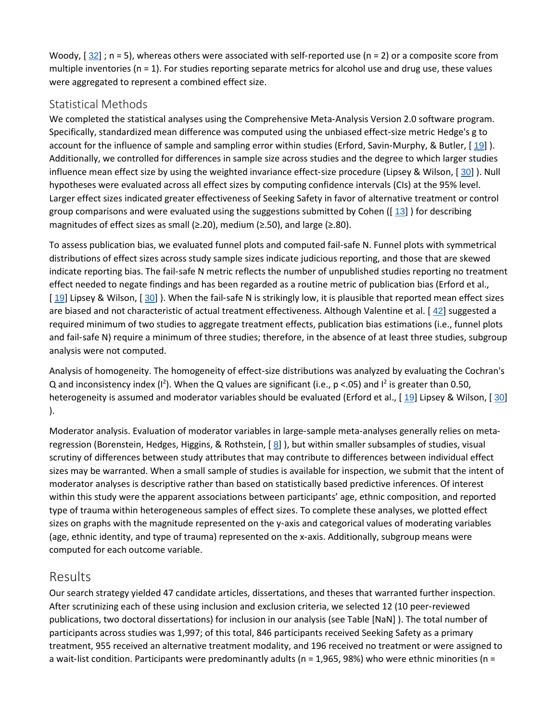Woody,  $[32]$  $[32]$  $[32]$ ; n = 5), whereas others were associated with self-reported use (n = 2) or a composite score from multiple inventories ( $n = 1$ ). For studies reporting separate metrics for alcohol use and drug use, these values were aggregated to represent a combined effect size.

#### [Statistical Methods](https://0-web-b-ebscohost-com.libus.csd.mu.edu/ehost/detail/detail?vid=2&sid=a0101539-e968-438e-81ee-8cef89e324e5%40pdc-v-sessmgr04&bdata=JnNpdGU9ZWhvc3QtbGl2ZQ%3d%3d#toc)

We completed the statistical analyses using the Comprehensive Meta-Analysis Version 2.0 software program. Specifically, standardized mean difference was computed using the unbiased effect‐size metric Hedge's g to account for the influence of sample and sampling error within studies (Erford, Savin-Murphy, & Butler, [[19](https://0-web-b-ebscohost-com.libus.csd.mu.edu/ehost/detail/detail?vid=2&sid=a0101539-e968-438e-81ee-8cef89e324e5%40pdc-v-sessmgr04&bdata=JnNpdGU9ZWhvc3QtbGl2ZQ%3d%3d#bib19)]). Additionally, we controlled for differences in sample size across studies and the degree to which larger studies influence mean effect size by using the weighted invariance effect-size procedure (Lipsey & Wilson, [[30](https://0-web-b-ebscohost-com.libus.csd.mu.edu/ehost/detail/detail?vid=2&sid=a0101539-e968-438e-81ee-8cef89e324e5%40pdc-v-sessmgr04&bdata=JnNpdGU9ZWhvc3QtbGl2ZQ%3d%3d#bib30)]). Null hypotheses were evaluated across all effect sizes by computing confidence intervals (CIs) at the 95% level. Larger effect sizes indicated greater effectiveness of Seeking Safety in favor of alternative treatment or control group comparisons and were evaluated using the suggestions submitted by Cohen ([ [13](https://0-web-b-ebscohost-com.libus.csd.mu.edu/ehost/detail/detail?vid=2&sid=a0101539-e968-438e-81ee-8cef89e324e5%40pdc-v-sessmgr04&bdata=JnNpdGU9ZWhvc3QtbGl2ZQ%3d%3d#bib13)] ) for describing magnitudes of effect sizes as small (≥.20), medium (≥.50), and large (≥.80).

To assess publication bias, we evaluated funnel plots and computed fail‐safe N. Funnel plots with symmetrical distributions of effect sizes across study sample sizes indicate judicious reporting, and those that are skewed indicate reporting bias. The fail‐safe N metric reflects the number of unpublished studies reporting no treatment effect needed to negate findings and has been regarded as a routine metric of publication bias (Erford et al., [[19](https://0-web-b-ebscohost-com.libus.csd.mu.edu/ehost/detail/detail?vid=2&sid=a0101539-e968-438e-81ee-8cef89e324e5%40pdc-v-sessmgr04&bdata=JnNpdGU9ZWhvc3QtbGl2ZQ%3d%3d#bib19)] Lipsey & Wilson, [[30](https://0-web-b-ebscohost-com.libus.csd.mu.edu/ehost/detail/detail?vid=2&sid=a0101539-e968-438e-81ee-8cef89e324e5%40pdc-v-sessmgr04&bdata=JnNpdGU9ZWhvc3QtbGl2ZQ%3d%3d#bib30)] ). When the fail-safe N is strikingly low, it is plausible that reported mean effect sizes are biased and not characteristic of actual treatment effectiveness. Although Valentine et al. [[42](https://0-web-b-ebscohost-com.libus.csd.mu.edu/ehost/detail/detail?vid=2&sid=a0101539-e968-438e-81ee-8cef89e324e5%40pdc-v-sessmgr04&bdata=JnNpdGU9ZWhvc3QtbGl2ZQ%3d%3d#bib42)] suggested a required minimum of two studies to aggregate treatment effects, publication bias estimations (i.e., funnel plots and fail-safe N) require a minimum of three studies; therefore, in the absence of at least three studies, subgroup analysis were not computed.

Analysis of homogeneity. The homogeneity of effect‐size distributions was analyzed by evaluating the Cochran's Q and inconsistency index (I<sup>2</sup>). When the Q values are significant (i.e.,  $p < 05$ ) and I<sup>2</sup> is greater than 0.50, heterogeneity is assumed and moderator variables should be evaluated (Erford et al., [[19](https://0-web-b-ebscohost-com.libus.csd.mu.edu/ehost/detail/detail?vid=2&sid=a0101539-e968-438e-81ee-8cef89e324e5%40pdc-v-sessmgr04&bdata=JnNpdGU9ZWhvc3QtbGl2ZQ%3d%3d#bib19)] Lipsey & Wilson, [[30](https://0-web-b-ebscohost-com.libus.csd.mu.edu/ehost/detail/detail?vid=2&sid=a0101539-e968-438e-81ee-8cef89e324e5%40pdc-v-sessmgr04&bdata=JnNpdGU9ZWhvc3QtbGl2ZQ%3d%3d#bib30)] ).

Moderator analysis. Evaluation of moderator variables in large‐sample meta‐analyses generally relies on meta‐ regression (Borenstein, Hedges, Higgins, & Rothstein, [ [8](https://0-web-b-ebscohost-com.libus.csd.mu.edu/ehost/detail/detail?vid=2&sid=a0101539-e968-438e-81ee-8cef89e324e5%40pdc-v-sessmgr04&bdata=JnNpdGU9ZWhvc3QtbGl2ZQ%3d%3d#bib8)] ), but within smaller subsamples of studies, visual scrutiny of differences between study attributes that may contribute to differences between individual effect sizes may be warranted. When a small sample of studies is available for inspection, we submit that the intent of moderator analyses is descriptive rather than based on statistically based predictive inferences. Of interest within this study were the apparent associations between participants' age, ethnic composition, and reported type of trauma within heterogeneous samples of effect sizes. To complete these analyses, we plotted effect sizes on graphs with the magnitude represented on the y-axis and categorical values of moderating variables (age, ethnic identity, and type of trauma) represented on the x‐axis. Additionally, subgroup means were computed for each outcome variable.

## [Results](https://0-web-b-ebscohost-com.libus.csd.mu.edu/ehost/detail/detail?vid=2&sid=a0101539-e968-438e-81ee-8cef89e324e5%40pdc-v-sessmgr04&bdata=JnNpdGU9ZWhvc3QtbGl2ZQ%3d%3d#toc)

Our search strategy yielded 47 candidate articles, dissertations, and theses that warranted further inspection. After scrutinizing each of these using inclusion and exclusion criteria, we selected 12 (10 peer‐reviewed publications, two doctoral dissertations) for inclusion in our analysis (see Table [NaN] ). The total number of participants across studies was 1,997; of this total, 846 participants received Seeking Safety as a primary treatment, 955 received an alternative treatment modality, and 196 received no treatment or were assigned to a wait‐list condition. Participants were predominantly adults (n = 1,965, 98%) who were ethnic minorities (n =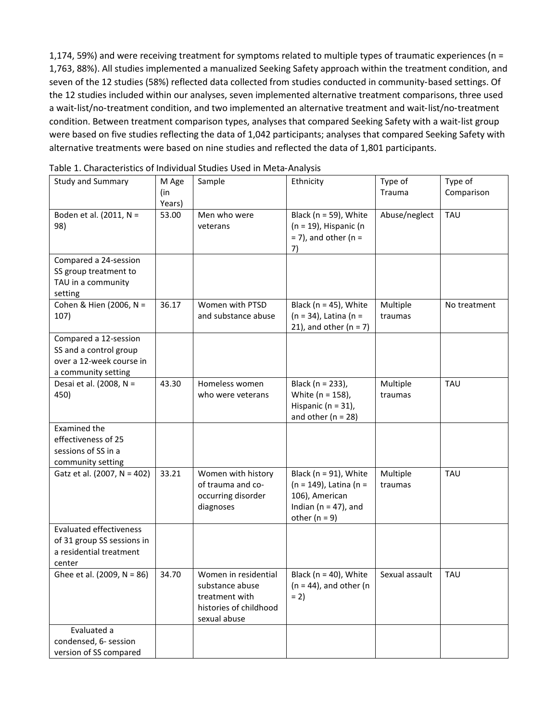1,174, 59%) and were receiving treatment for symptoms related to multiple types of traumatic experiences (n = 1,763, 88%). All studies implemented a manualized Seeking Safety approach within the treatment condition, and seven of the 12 studies (58%) reflected data collected from studies conducted in community-based settings. Of the 12 studies included within our analyses, seven implemented alternative treatment comparisons, three used a wait‐list/no‐treatment condition, and two implemented an alternative treatment and wait‐list/no‐treatment condition. Between treatment comparison types, analyses that compared Seeking Safety with a wait‐list group were based on five studies reflecting the data of 1,042 participants; analyses that compared Seeking Safety with alternative treatments were based on nine studies and reflected the data of 1,801 participants.

| Study and Summary                                                                                  | M Age<br>(in<br>Years) | Sample                                                                                              | Ethnicity                                                                                                              | Type of<br>Trauma   | Type of<br>Comparison |
|----------------------------------------------------------------------------------------------------|------------------------|-----------------------------------------------------------------------------------------------------|------------------------------------------------------------------------------------------------------------------------|---------------------|-----------------------|
| Boden et al. (2011, N =<br>98)                                                                     | 53.00                  | Men who were<br>veterans                                                                            | Black ( $n = 59$ ), White<br>$(n = 19)$ , Hispanic (n<br>$= 7$ ), and other (n =<br>7)                                 | Abuse/neglect       | <b>TAU</b>            |
| Compared a 24-session<br>SS group treatment to<br>TAU in a community<br>setting                    |                        |                                                                                                     |                                                                                                                        |                     |                       |
| Cohen & Hien (2006, N =<br>107)                                                                    | 36.17                  | Women with PTSD<br>and substance abuse                                                              | Black ( $n = 45$ ), White<br>$(n = 34)$ , Latina $(n =$<br>21), and other $(n = 7)$                                    | Multiple<br>traumas | No treatment          |
| Compared a 12-session<br>SS and a control group<br>over a 12-week course in<br>a community setting |                        |                                                                                                     |                                                                                                                        |                     |                       |
| Desai et al. (2008, N =<br>450)                                                                    | 43.30                  | Homeless women<br>who were veterans                                                                 | Black (n = 233),<br>White (n = 158),<br>Hispanic ( $n = 31$ ),<br>and other ( $n = 28$ )                               | Multiple<br>traumas | <b>TAU</b>            |
| Examined the<br>effectiveness of 25<br>sessions of SS in a<br>community setting                    |                        |                                                                                                     |                                                                                                                        |                     |                       |
| Gatz et al. (2007, N = 402)                                                                        | 33.21                  | Women with history<br>of trauma and co-<br>occurring disorder<br>diagnoses                          | Black ( $n = 91$ ), White<br>(n = 149), Latina (n =<br>106), American<br>Indian ( $n = 47$ ), and<br>other ( $n = 9$ ) | Multiple<br>traumas | <b>TAU</b>            |
| <b>Evaluated effectiveness</b><br>of 31 group SS sessions in<br>a residential treatment<br>center  |                        |                                                                                                     |                                                                                                                        |                     |                       |
| Ghee et al. (2009, N = 86)                                                                         | 34.70                  | Women in residential<br>substance abuse<br>treatment with<br>histories of childhood<br>sexual abuse | Black ( $n = 40$ ), White<br>$(n = 44)$ , and other (n<br>$= 2$                                                        | Sexual assault      | <b>TAU</b>            |
| Evaluated a<br>condensed, 6- session<br>version of SS compared                                     |                        |                                                                                                     |                                                                                                                        |                     |                       |

| Table 1. Characteristics of Individual Studies Used in Meta-Analysis |
|----------------------------------------------------------------------|
|----------------------------------------------------------------------|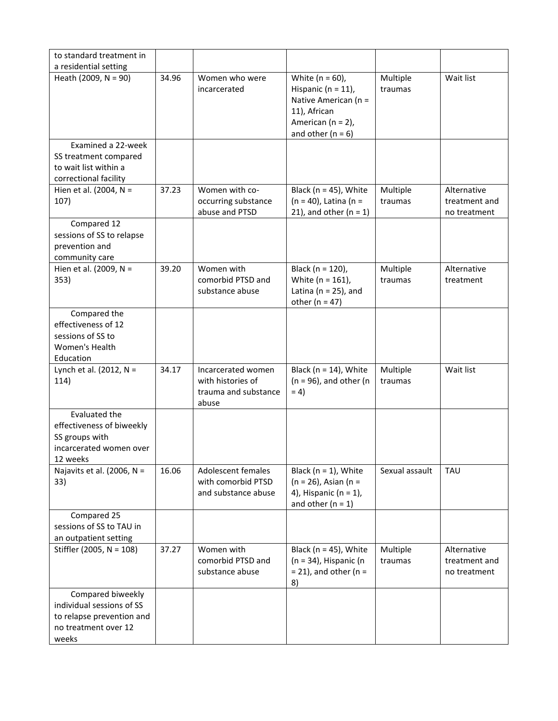| a residential setting<br>Heath (2009, N = 90)<br>34.96<br>White ( $n = 60$ ),<br>Wait list<br>Women who were<br>Multiple<br>Hispanic ( $n = 11$ ),<br>incarcerated<br>traumas<br>Native American (n =<br>11), African<br>American ( $n = 2$ ),<br>and other $(n = 6)$<br>Examined a 22-week<br>SS treatment compared<br>to wait list within a<br>correctional facility<br>Hien et al. (2004, N =<br>37.23<br>Women with co-<br>Alternative<br>Black ( $n = 45$ ), White<br>Multiple<br>$(n = 40)$ , Latina $(n =$<br>107)<br>occurring substance<br>traumas<br>treatment and<br>abuse and PTSD<br>21), and other $(n = 1)$<br>no treatment<br>Compared 12<br>sessions of SS to relapse<br>prevention and<br>community care<br>Women with<br>Alternative<br>Hien et al. (2009, N =<br>Black (n = 120),<br>39.20<br>Multiple<br>353)<br>comorbid PTSD and<br>White (n = 161),<br>traumas<br>treatment<br>substance abuse<br>Latina ( $n = 25$ ), and<br>other ( $n = 47$ )<br>Compared the<br>effectiveness of 12<br>sessions of SS to<br>Women's Health<br>Education<br>Lynch et al. (2012, N =<br>34.17<br>Incarcerated women<br>Black ( $n = 14$ ), White<br>Multiple<br>Wait list<br>114)<br>with histories of<br>$(n = 96)$ , and other (n<br>traumas<br>trauma and substance<br>$= 4)$<br>abuse<br>Evaluated the<br>effectiveness of biweekly<br>SS groups with<br>incarcerated women over<br>12 weeks<br>Adolescent females<br>Black ( $n = 1$ ), White<br>Sexual assault<br>Najavits et al. (2006, N =<br>16.06<br><b>TAU</b><br>with comorbid PTSD<br>$(n = 26)$ , Asian $(n =$<br>33)<br>and substance abuse<br>4), Hispanic ( $n = 1$ ),<br>and other $(n = 1)$<br>Compared 25<br>sessions of SS to TAU in<br>an outpatient setting<br>Stiffler (2005, N = 108)<br>37.27<br>Women with<br>Black ( $n = 45$ ), White<br>Multiple<br>Alternative<br>comorbid PTSD and<br>$(n = 34)$ , Hispanic (n<br>traumas<br>treatment and<br>substance abuse<br>$= 21$ ), and other (n =<br>no treatment<br>8)<br>Compared biweekly<br>individual sessions of SS<br>to relapse prevention and<br>no treatment over 12 | to standard treatment in |  |  |  |
|------------------------------------------------------------------------------------------------------------------------------------------------------------------------------------------------------------------------------------------------------------------------------------------------------------------------------------------------------------------------------------------------------------------------------------------------------------------------------------------------------------------------------------------------------------------------------------------------------------------------------------------------------------------------------------------------------------------------------------------------------------------------------------------------------------------------------------------------------------------------------------------------------------------------------------------------------------------------------------------------------------------------------------------------------------------------------------------------------------------------------------------------------------------------------------------------------------------------------------------------------------------------------------------------------------------------------------------------------------------------------------------------------------------------------------------------------------------------------------------------------------------------------------------------------------------------------------------------------------------------------------------------------------------------------------------------------------------------------------------------------------------------------------------------------------------------------------------------------------------------------------------------------------------------------------------------------------------------------------------------------------------------------------------------------------------------------------------------------------------|--------------------------|--|--|--|
|                                                                                                                                                                                                                                                                                                                                                                                                                                                                                                                                                                                                                                                                                                                                                                                                                                                                                                                                                                                                                                                                                                                                                                                                                                                                                                                                                                                                                                                                                                                                                                                                                                                                                                                                                                                                                                                                                                                                                                                                                                                                                                                  |                          |  |  |  |
|                                                                                                                                                                                                                                                                                                                                                                                                                                                                                                                                                                                                                                                                                                                                                                                                                                                                                                                                                                                                                                                                                                                                                                                                                                                                                                                                                                                                                                                                                                                                                                                                                                                                                                                                                                                                                                                                                                                                                                                                                                                                                                                  |                          |  |  |  |
|                                                                                                                                                                                                                                                                                                                                                                                                                                                                                                                                                                                                                                                                                                                                                                                                                                                                                                                                                                                                                                                                                                                                                                                                                                                                                                                                                                                                                                                                                                                                                                                                                                                                                                                                                                                                                                                                                                                                                                                                                                                                                                                  |                          |  |  |  |
|                                                                                                                                                                                                                                                                                                                                                                                                                                                                                                                                                                                                                                                                                                                                                                                                                                                                                                                                                                                                                                                                                                                                                                                                                                                                                                                                                                                                                                                                                                                                                                                                                                                                                                                                                                                                                                                                                                                                                                                                                                                                                                                  |                          |  |  |  |
|                                                                                                                                                                                                                                                                                                                                                                                                                                                                                                                                                                                                                                                                                                                                                                                                                                                                                                                                                                                                                                                                                                                                                                                                                                                                                                                                                                                                                                                                                                                                                                                                                                                                                                                                                                                                                                                                                                                                                                                                                                                                                                                  |                          |  |  |  |
|                                                                                                                                                                                                                                                                                                                                                                                                                                                                                                                                                                                                                                                                                                                                                                                                                                                                                                                                                                                                                                                                                                                                                                                                                                                                                                                                                                                                                                                                                                                                                                                                                                                                                                                                                                                                                                                                                                                                                                                                                                                                                                                  |                          |  |  |  |
|                                                                                                                                                                                                                                                                                                                                                                                                                                                                                                                                                                                                                                                                                                                                                                                                                                                                                                                                                                                                                                                                                                                                                                                                                                                                                                                                                                                                                                                                                                                                                                                                                                                                                                                                                                                                                                                                                                                                                                                                                                                                                                                  |                          |  |  |  |
|                                                                                                                                                                                                                                                                                                                                                                                                                                                                                                                                                                                                                                                                                                                                                                                                                                                                                                                                                                                                                                                                                                                                                                                                                                                                                                                                                                                                                                                                                                                                                                                                                                                                                                                                                                                                                                                                                                                                                                                                                                                                                                                  |                          |  |  |  |
|                                                                                                                                                                                                                                                                                                                                                                                                                                                                                                                                                                                                                                                                                                                                                                                                                                                                                                                                                                                                                                                                                                                                                                                                                                                                                                                                                                                                                                                                                                                                                                                                                                                                                                                                                                                                                                                                                                                                                                                                                                                                                                                  |                          |  |  |  |
|                                                                                                                                                                                                                                                                                                                                                                                                                                                                                                                                                                                                                                                                                                                                                                                                                                                                                                                                                                                                                                                                                                                                                                                                                                                                                                                                                                                                                                                                                                                                                                                                                                                                                                                                                                                                                                                                                                                                                                                                                                                                                                                  |                          |  |  |  |
|                                                                                                                                                                                                                                                                                                                                                                                                                                                                                                                                                                                                                                                                                                                                                                                                                                                                                                                                                                                                                                                                                                                                                                                                                                                                                                                                                                                                                                                                                                                                                                                                                                                                                                                                                                                                                                                                                                                                                                                                                                                                                                                  |                          |  |  |  |
|                                                                                                                                                                                                                                                                                                                                                                                                                                                                                                                                                                                                                                                                                                                                                                                                                                                                                                                                                                                                                                                                                                                                                                                                                                                                                                                                                                                                                                                                                                                                                                                                                                                                                                                                                                                                                                                                                                                                                                                                                                                                                                                  |                          |  |  |  |
|                                                                                                                                                                                                                                                                                                                                                                                                                                                                                                                                                                                                                                                                                                                                                                                                                                                                                                                                                                                                                                                                                                                                                                                                                                                                                                                                                                                                                                                                                                                                                                                                                                                                                                                                                                                                                                                                                                                                                                                                                                                                                                                  |                          |  |  |  |
|                                                                                                                                                                                                                                                                                                                                                                                                                                                                                                                                                                                                                                                                                                                                                                                                                                                                                                                                                                                                                                                                                                                                                                                                                                                                                                                                                                                                                                                                                                                                                                                                                                                                                                                                                                                                                                                                                                                                                                                                                                                                                                                  |                          |  |  |  |
|                                                                                                                                                                                                                                                                                                                                                                                                                                                                                                                                                                                                                                                                                                                                                                                                                                                                                                                                                                                                                                                                                                                                                                                                                                                                                                                                                                                                                                                                                                                                                                                                                                                                                                                                                                                                                                                                                                                                                                                                                                                                                                                  |                          |  |  |  |
|                                                                                                                                                                                                                                                                                                                                                                                                                                                                                                                                                                                                                                                                                                                                                                                                                                                                                                                                                                                                                                                                                                                                                                                                                                                                                                                                                                                                                                                                                                                                                                                                                                                                                                                                                                                                                                                                                                                                                                                                                                                                                                                  |                          |  |  |  |
|                                                                                                                                                                                                                                                                                                                                                                                                                                                                                                                                                                                                                                                                                                                                                                                                                                                                                                                                                                                                                                                                                                                                                                                                                                                                                                                                                                                                                                                                                                                                                                                                                                                                                                                                                                                                                                                                                                                                                                                                                                                                                                                  |                          |  |  |  |
|                                                                                                                                                                                                                                                                                                                                                                                                                                                                                                                                                                                                                                                                                                                                                                                                                                                                                                                                                                                                                                                                                                                                                                                                                                                                                                                                                                                                                                                                                                                                                                                                                                                                                                                                                                                                                                                                                                                                                                                                                                                                                                                  |                          |  |  |  |
|                                                                                                                                                                                                                                                                                                                                                                                                                                                                                                                                                                                                                                                                                                                                                                                                                                                                                                                                                                                                                                                                                                                                                                                                                                                                                                                                                                                                                                                                                                                                                                                                                                                                                                                                                                                                                                                                                                                                                                                                                                                                                                                  |                          |  |  |  |
|                                                                                                                                                                                                                                                                                                                                                                                                                                                                                                                                                                                                                                                                                                                                                                                                                                                                                                                                                                                                                                                                                                                                                                                                                                                                                                                                                                                                                                                                                                                                                                                                                                                                                                                                                                                                                                                                                                                                                                                                                                                                                                                  |                          |  |  |  |
|                                                                                                                                                                                                                                                                                                                                                                                                                                                                                                                                                                                                                                                                                                                                                                                                                                                                                                                                                                                                                                                                                                                                                                                                                                                                                                                                                                                                                                                                                                                                                                                                                                                                                                                                                                                                                                                                                                                                                                                                                                                                                                                  |                          |  |  |  |
|                                                                                                                                                                                                                                                                                                                                                                                                                                                                                                                                                                                                                                                                                                                                                                                                                                                                                                                                                                                                                                                                                                                                                                                                                                                                                                                                                                                                                                                                                                                                                                                                                                                                                                                                                                                                                                                                                                                                                                                                                                                                                                                  |                          |  |  |  |
|                                                                                                                                                                                                                                                                                                                                                                                                                                                                                                                                                                                                                                                                                                                                                                                                                                                                                                                                                                                                                                                                                                                                                                                                                                                                                                                                                                                                                                                                                                                                                                                                                                                                                                                                                                                                                                                                                                                                                                                                                                                                                                                  |                          |  |  |  |
|                                                                                                                                                                                                                                                                                                                                                                                                                                                                                                                                                                                                                                                                                                                                                                                                                                                                                                                                                                                                                                                                                                                                                                                                                                                                                                                                                                                                                                                                                                                                                                                                                                                                                                                                                                                                                                                                                                                                                                                                                                                                                                                  |                          |  |  |  |
|                                                                                                                                                                                                                                                                                                                                                                                                                                                                                                                                                                                                                                                                                                                                                                                                                                                                                                                                                                                                                                                                                                                                                                                                                                                                                                                                                                                                                                                                                                                                                                                                                                                                                                                                                                                                                                                                                                                                                                                                                                                                                                                  |                          |  |  |  |
|                                                                                                                                                                                                                                                                                                                                                                                                                                                                                                                                                                                                                                                                                                                                                                                                                                                                                                                                                                                                                                                                                                                                                                                                                                                                                                                                                                                                                                                                                                                                                                                                                                                                                                                                                                                                                                                                                                                                                                                                                                                                                                                  |                          |  |  |  |
|                                                                                                                                                                                                                                                                                                                                                                                                                                                                                                                                                                                                                                                                                                                                                                                                                                                                                                                                                                                                                                                                                                                                                                                                                                                                                                                                                                                                                                                                                                                                                                                                                                                                                                                                                                                                                                                                                                                                                                                                                                                                                                                  |                          |  |  |  |
|                                                                                                                                                                                                                                                                                                                                                                                                                                                                                                                                                                                                                                                                                                                                                                                                                                                                                                                                                                                                                                                                                                                                                                                                                                                                                                                                                                                                                                                                                                                                                                                                                                                                                                                                                                                                                                                                                                                                                                                                                                                                                                                  |                          |  |  |  |
|                                                                                                                                                                                                                                                                                                                                                                                                                                                                                                                                                                                                                                                                                                                                                                                                                                                                                                                                                                                                                                                                                                                                                                                                                                                                                                                                                                                                                                                                                                                                                                                                                                                                                                                                                                                                                                                                                                                                                                                                                                                                                                                  |                          |  |  |  |
|                                                                                                                                                                                                                                                                                                                                                                                                                                                                                                                                                                                                                                                                                                                                                                                                                                                                                                                                                                                                                                                                                                                                                                                                                                                                                                                                                                                                                                                                                                                                                                                                                                                                                                                                                                                                                                                                                                                                                                                                                                                                                                                  |                          |  |  |  |
|                                                                                                                                                                                                                                                                                                                                                                                                                                                                                                                                                                                                                                                                                                                                                                                                                                                                                                                                                                                                                                                                                                                                                                                                                                                                                                                                                                                                                                                                                                                                                                                                                                                                                                                                                                                                                                                                                                                                                                                                                                                                                                                  |                          |  |  |  |
|                                                                                                                                                                                                                                                                                                                                                                                                                                                                                                                                                                                                                                                                                                                                                                                                                                                                                                                                                                                                                                                                                                                                                                                                                                                                                                                                                                                                                                                                                                                                                                                                                                                                                                                                                                                                                                                                                                                                                                                                                                                                                                                  |                          |  |  |  |
|                                                                                                                                                                                                                                                                                                                                                                                                                                                                                                                                                                                                                                                                                                                                                                                                                                                                                                                                                                                                                                                                                                                                                                                                                                                                                                                                                                                                                                                                                                                                                                                                                                                                                                                                                                                                                                                                                                                                                                                                                                                                                                                  |                          |  |  |  |
|                                                                                                                                                                                                                                                                                                                                                                                                                                                                                                                                                                                                                                                                                                                                                                                                                                                                                                                                                                                                                                                                                                                                                                                                                                                                                                                                                                                                                                                                                                                                                                                                                                                                                                                                                                                                                                                                                                                                                                                                                                                                                                                  |                          |  |  |  |
|                                                                                                                                                                                                                                                                                                                                                                                                                                                                                                                                                                                                                                                                                                                                                                                                                                                                                                                                                                                                                                                                                                                                                                                                                                                                                                                                                                                                                                                                                                                                                                                                                                                                                                                                                                                                                                                                                                                                                                                                                                                                                                                  |                          |  |  |  |
|                                                                                                                                                                                                                                                                                                                                                                                                                                                                                                                                                                                                                                                                                                                                                                                                                                                                                                                                                                                                                                                                                                                                                                                                                                                                                                                                                                                                                                                                                                                                                                                                                                                                                                                                                                                                                                                                                                                                                                                                                                                                                                                  |                          |  |  |  |
|                                                                                                                                                                                                                                                                                                                                                                                                                                                                                                                                                                                                                                                                                                                                                                                                                                                                                                                                                                                                                                                                                                                                                                                                                                                                                                                                                                                                                                                                                                                                                                                                                                                                                                                                                                                                                                                                                                                                                                                                                                                                                                                  |                          |  |  |  |
|                                                                                                                                                                                                                                                                                                                                                                                                                                                                                                                                                                                                                                                                                                                                                                                                                                                                                                                                                                                                                                                                                                                                                                                                                                                                                                                                                                                                                                                                                                                                                                                                                                                                                                                                                                                                                                                                                                                                                                                                                                                                                                                  |                          |  |  |  |
|                                                                                                                                                                                                                                                                                                                                                                                                                                                                                                                                                                                                                                                                                                                                                                                                                                                                                                                                                                                                                                                                                                                                                                                                                                                                                                                                                                                                                                                                                                                                                                                                                                                                                                                                                                                                                                                                                                                                                                                                                                                                                                                  |                          |  |  |  |
|                                                                                                                                                                                                                                                                                                                                                                                                                                                                                                                                                                                                                                                                                                                                                                                                                                                                                                                                                                                                                                                                                                                                                                                                                                                                                                                                                                                                                                                                                                                                                                                                                                                                                                                                                                                                                                                                                                                                                                                                                                                                                                                  |                          |  |  |  |
|                                                                                                                                                                                                                                                                                                                                                                                                                                                                                                                                                                                                                                                                                                                                                                                                                                                                                                                                                                                                                                                                                                                                                                                                                                                                                                                                                                                                                                                                                                                                                                                                                                                                                                                                                                                                                                                                                                                                                                                                                                                                                                                  |                          |  |  |  |
|                                                                                                                                                                                                                                                                                                                                                                                                                                                                                                                                                                                                                                                                                                                                                                                                                                                                                                                                                                                                                                                                                                                                                                                                                                                                                                                                                                                                                                                                                                                                                                                                                                                                                                                                                                                                                                                                                                                                                                                                                                                                                                                  |                          |  |  |  |
|                                                                                                                                                                                                                                                                                                                                                                                                                                                                                                                                                                                                                                                                                                                                                                                                                                                                                                                                                                                                                                                                                                                                                                                                                                                                                                                                                                                                                                                                                                                                                                                                                                                                                                                                                                                                                                                                                                                                                                                                                                                                                                                  |                          |  |  |  |
|                                                                                                                                                                                                                                                                                                                                                                                                                                                                                                                                                                                                                                                                                                                                                                                                                                                                                                                                                                                                                                                                                                                                                                                                                                                                                                                                                                                                                                                                                                                                                                                                                                                                                                                                                                                                                                                                                                                                                                                                                                                                                                                  |                          |  |  |  |
|                                                                                                                                                                                                                                                                                                                                                                                                                                                                                                                                                                                                                                                                                                                                                                                                                                                                                                                                                                                                                                                                                                                                                                                                                                                                                                                                                                                                                                                                                                                                                                                                                                                                                                                                                                                                                                                                                                                                                                                                                                                                                                                  |                          |  |  |  |
|                                                                                                                                                                                                                                                                                                                                                                                                                                                                                                                                                                                                                                                                                                                                                                                                                                                                                                                                                                                                                                                                                                                                                                                                                                                                                                                                                                                                                                                                                                                                                                                                                                                                                                                                                                                                                                                                                                                                                                                                                                                                                                                  |                          |  |  |  |
|                                                                                                                                                                                                                                                                                                                                                                                                                                                                                                                                                                                                                                                                                                                                                                                                                                                                                                                                                                                                                                                                                                                                                                                                                                                                                                                                                                                                                                                                                                                                                                                                                                                                                                                                                                                                                                                                                                                                                                                                                                                                                                                  |                          |  |  |  |
|                                                                                                                                                                                                                                                                                                                                                                                                                                                                                                                                                                                                                                                                                                                                                                                                                                                                                                                                                                                                                                                                                                                                                                                                                                                                                                                                                                                                                                                                                                                                                                                                                                                                                                                                                                                                                                                                                                                                                                                                                                                                                                                  |                          |  |  |  |
| weeks                                                                                                                                                                                                                                                                                                                                                                                                                                                                                                                                                                                                                                                                                                                                                                                                                                                                                                                                                                                                                                                                                                                                                                                                                                                                                                                                                                                                                                                                                                                                                                                                                                                                                                                                                                                                                                                                                                                                                                                                                                                                                                            |                          |  |  |  |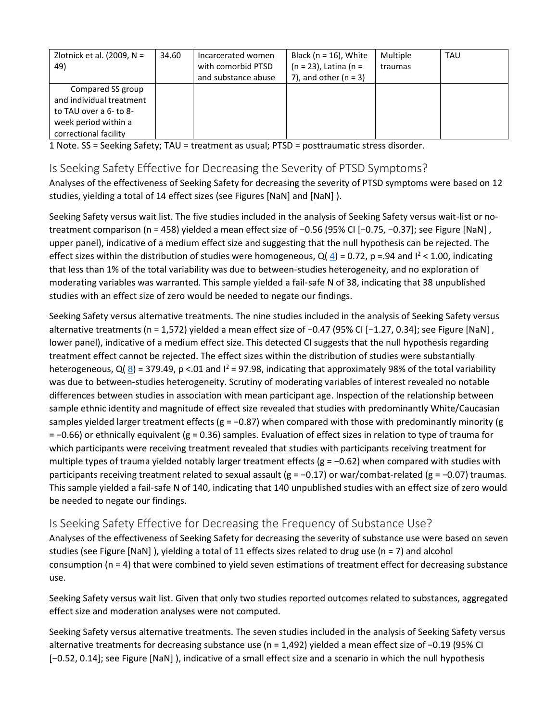| Zlotnick et al. (2009, $N =$<br>49)                                                                                      | 34.60 | Incarcerated women<br>with comorbid PTSD<br>and substance abuse | Black ( $n = 16$ ), White<br>$(n = 23)$ , Latina $(n = 1)$<br>7), and other $(n = 3)$ | Multiple<br>traumas | TAU |
|--------------------------------------------------------------------------------------------------------------------------|-------|-----------------------------------------------------------------|---------------------------------------------------------------------------------------|---------------------|-----|
| Compared SS group<br>and individual treatment<br>to TAU over a 6- to 8-<br>week period within a<br>correctional facility |       |                                                                 |                                                                                       |                     |     |

1 Note. SS = Seeking Safety; TAU = treatment as usual; PTSD = posttraumatic stress disorder.

#### Is Seeking [Safety Effective for Decreasing the Severity of PTSD Symptoms?](https://0-web-b-ebscohost-com.libus.csd.mu.edu/ehost/detail/detail?vid=2&sid=a0101539-e968-438e-81ee-8cef89e324e5%40pdc-v-sessmgr04&bdata=JnNpdGU9ZWhvc3QtbGl2ZQ%3d%3d#toc)

Analyses of the effectiveness of Seeking Safety for decreasing the severity of PTSD symptoms were based on 12 studies, yielding a total of 14 effect sizes (see Figures [NaN] and [NaN] ).

Seeking Safety versus wait list. The five studies included in the analysis of Seeking Safety versus wait‐list or no‐ treatment comparison (n = 458) yielded a mean effect size of −0.56 (95% CI [−0.75, −0.37]; see Figure [NaN] , upper panel), indicative of a medium effect size and suggesting that the null hypothesis can be rejected. The effect sizes within the distribution of studies were homogeneous,  $Q(4) = 0.72$  $Q(4) = 0.72$  $Q(4) = 0.72$ , p = 94 and  $1<sup>2</sup> < 1.00$ , indicating that less than 1% of the total variability was due to between‐studies heterogeneity, and no exploration of moderating variables was warranted. This sample yielded a fail‐safe N of 38, indicating that 38 unpublished studies with an effect size of zero would be needed to negate our findings.

Seeking Safety versus alternative treatments. The nine studies included in the analysis of Seeking Safety versus alternative treatments (n = 1,572) yielded a mean effect size of −0.47 (95% CI [−1.27, 0.34]; see Figure [NaN] , lower panel), indicative of a medium effect size. This detected CI suggests that the null hypothesis regarding treatment effect cannot be rejected. The effect sizes within the distribution of studies were substantially heterogeneous, Q( $8$ ) = 379.49, p <.01 and  $I^2$  = 97.98, indicating that approximately 98% of the total variability was due to between‐studies heterogeneity. Scrutiny of moderating variables of interest revealed no notable differences between studies in association with mean participant age. Inspection of the relationship between sample ethnic identity and magnitude of effect size revealed that studies with predominantly White/Caucasian samples yielded larger treatment effects ( $g = -0.87$ ) when compared with those with predominantly minority (g = −0.66) or ethnically equivalent (g = 0.36) samples. Evaluation of effect sizes in relation to type of trauma for which participants were receiving treatment revealed that studies with participants receiving treatment for multiple types of trauma yielded notably larger treatment effects ( $g = -0.62$ ) when compared with studies with participants receiving treatment related to sexual assault ( $g = -0.17$ ) or war/combat-related ( $g = -0.07$ ) traumas. This sample yielded a fail‐safe N of 140, indicating that 140 unpublished studies with an effect size of zero would be needed to negate our findings.

#### [Is Seeking Safety Effective for Decreasing the Frequency of Substance Use?](https://0-web-b-ebscohost-com.libus.csd.mu.edu/ehost/detail/detail?vid=2&sid=a0101539-e968-438e-81ee-8cef89e324e5%40pdc-v-sessmgr04&bdata=JnNpdGU9ZWhvc3QtbGl2ZQ%3d%3d#toc)

Analyses of the effectiveness of Seeking Safety for decreasing the severity of substance use were based on seven studies (see Figure [NaN] ), yielding a total of 11 effects sizes related to drug use (n = 7) and alcohol consumption (n = 4) that were combined to yield seven estimations of treatment effect for decreasing substance use.

Seeking Safety versus wait list. Given that only two studies reported outcomes related to substances, aggregated effect size and moderation analyses were not computed.

Seeking Safety versus alternative treatments. The seven studies included in the analysis of Seeking Safety versus alternative treatments for decreasing substance use (n = 1,492) yielded a mean effect size of −0.19 (95% CI [−0.52, 0.14]; see Figure [NaN] ), indicative of a small effect size and a scenario in which the null hypothesis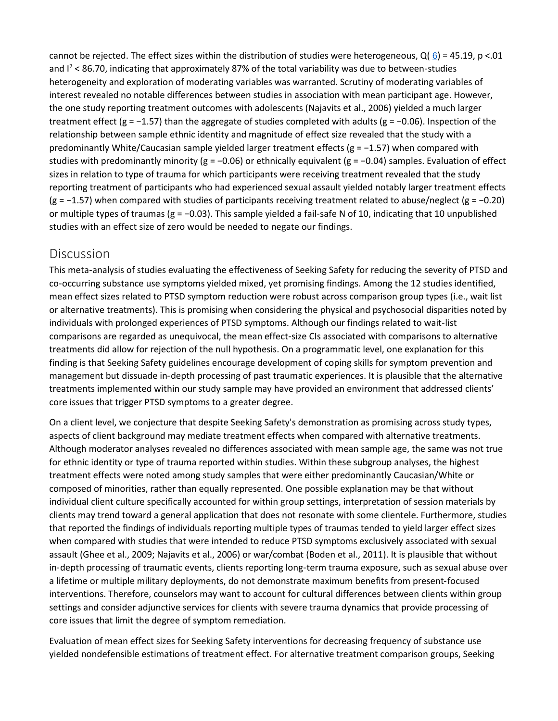cannot be rejected. The effect sizes within the distribution of studies were heterogeneous,  $Q(6) = 45.19$  $Q(6) = 45.19$  $Q(6) = 45.19$ , p <.01 and  $I^2$  < 86.70, indicating that approximately 87% of the total variability was due to between-studies heterogeneity and exploration of moderating variables was warranted. Scrutiny of moderating variables of interest revealed no notable differences between studies in association with mean participant age. However, the one study reporting treatment outcomes with adolescents (Najavits et al., 2006) yielded a much larger treatment effect (g = −1.57) than the aggregate of studies completed with adults (g = −0.06). Inspection of the relationship between sample ethnic identity and magnitude of effect size revealed that the study with a predominantly White/Caucasian sample yielded larger treatment effects ( $g = -1.57$ ) when compared with studies with predominantly minority (g = −0.06) or ethnically equivalent (g = −0.04) samples. Evaluation of effect sizes in relation to type of trauma for which participants were receiving treatment revealed that the study reporting treatment of participants who had experienced sexual assault yielded notably larger treatment effects (g = −1.57) when compared with studies of participants receiving treatment related to abuse/neglect (g = −0.20) or multiple types of traumas (g = -0.03). This sample yielded a fail-safe N of 10, indicating that 10 unpublished studies with an effect size of zero would be needed to negate our findings.

## [Discussion](https://0-web-b-ebscohost-com.libus.csd.mu.edu/ehost/detail/detail?vid=2&sid=a0101539-e968-438e-81ee-8cef89e324e5%40pdc-v-sessmgr04&bdata=JnNpdGU9ZWhvc3QtbGl2ZQ%3d%3d#toc)

This meta-analysis of studies evaluating the effectiveness of Seeking Safety for reducing the severity of PTSD and co‐occurring substance use symptoms yielded mixed, yet promising findings. Among the 12 studies identified, mean effect sizes related to PTSD symptom reduction were robust across comparison group types (i.e., wait list or alternative treatments). This is promising when considering the physical and psychosocial disparities noted by individuals with prolonged experiences of PTSD symptoms. Although our findings related to wait‐list comparisons are regarded as unequivocal, the mean effect‐size CIs associated with comparisons to alternative treatments did allow for rejection of the null hypothesis. On a programmatic level, one explanation for this finding is that Seeking Safety guidelines encourage development of coping skills for symptom prevention and management but dissuade in‐depth processing of past traumatic experiences. It is plausible that the alternative treatments implemented within our study sample may have provided an environment that addressed clients' core issues that trigger PTSD symptoms to a greater degree.

On a client level, we conjecture that despite Seeking Safety's demonstration as promising across study types, aspects of client background may mediate treatment effects when compared with alternative treatments. Although moderator analyses revealed no differences associated with mean sample age, the same was not true for ethnic identity or type of trauma reported within studies. Within these subgroup analyses, the highest treatment effects were noted among study samples that were either predominantly Caucasian/White or composed of minorities, rather than equally represented. One possible explanation may be that without individual client culture specifically accounted for within group settings, interpretation of session materials by clients may trend toward a general application that does not resonate with some clientele. Furthermore, studies that reported the findings of individuals reporting multiple types of traumas tended to yield larger effect sizes when compared with studies that were intended to reduce PTSD symptoms exclusively associated with sexual assault (Ghee et al., 2009; Najavits et al., 2006) or war/combat (Boden et al., 2011). It is plausible that without in-depth processing of traumatic events, clients reporting long-term trauma exposure, such as sexual abuse over a lifetime or multiple military deployments, do not demonstrate maximum benefits from present‐focused interventions. Therefore, counselors may want to account for cultural differences between clients within group settings and consider adjunctive services for clients with severe trauma dynamics that provide processing of core issues that limit the degree of symptom remediation.

Evaluation of mean effect sizes for Seeking Safety interventions for decreasing frequency of substance use yielded nondefensible estimations of treatment effect. For alternative treatment comparison groups, Seeking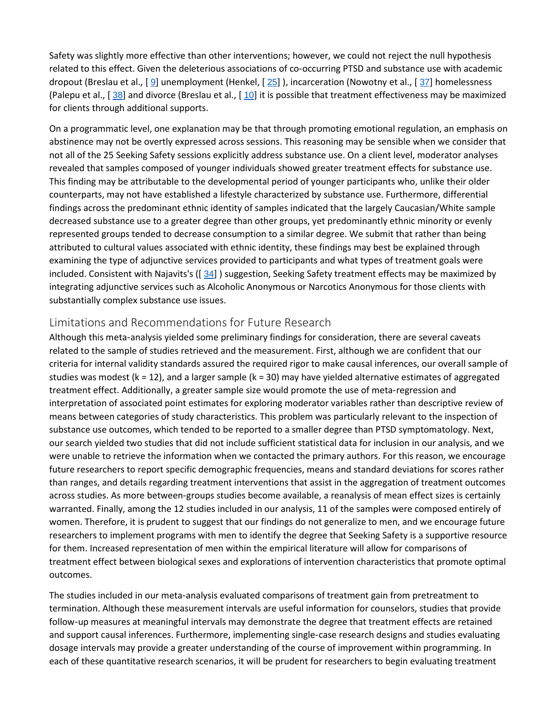Safety was slightly more effective than other interventions; however, we could not reject the null hypothesis related to this effect. Given the deleterious associations of co‐occurring PTSD and substance use with academic dropout (Breslau et al., [[9](https://0-web-b-ebscohost-com.libus.csd.mu.edu/ehost/detail/detail?vid=2&sid=a0101539-e968-438e-81ee-8cef89e324e5%40pdc-v-sessmgr04&bdata=JnNpdGU9ZWhvc3QtbGl2ZQ%3d%3d#bib9)] unemployment (Henkel, [[25](https://0-web-b-ebscohost-com.libus.csd.mu.edu/ehost/detail/detail?vid=2&sid=a0101539-e968-438e-81ee-8cef89e324e5%40pdc-v-sessmgr04&bdata=JnNpdGU9ZWhvc3QtbGl2ZQ%3d%3d#bib25)]), incarceration (Nowotny et al., [[37](https://0-web-b-ebscohost-com.libus.csd.mu.edu/ehost/detail/detail?vid=2&sid=a0101539-e968-438e-81ee-8cef89e324e5%40pdc-v-sessmgr04&bdata=JnNpdGU9ZWhvc3QtbGl2ZQ%3d%3d#bib37)] homelessness (Palepu et al.,  $[38]$  $[38]$  $[38]$  and divorce (Breslau et al.,  $[10]$  $[10]$  $[10]$  it is possible that treatment effectiveness may be maximized for clients through additional supports.

On a programmatic level, one explanation may be that through promoting emotional regulation, an emphasis on abstinence may not be overtly expressed across sessions. This reasoning may be sensible when we consider that not all of the 25 Seeking Safety sessions explicitly address substance use. On a client level, moderator analyses revealed that samples composed of younger individuals showed greater treatment effects for substance use. This finding may be attributable to the developmental period of younger participants who, unlike their older counterparts, may not have established a lifestyle characterized by substance use. Furthermore, differential findings across the predominant ethnic identity of samples indicated that the largely Caucasian/White sample decreased substance use to a greater degree than other groups, yet predominantly ethnic minority or evenly represented groups tended to decrease consumption to a similar degree. We submit that rather than being attributed to cultural values associated with ethnic identity, these findings may best be explained through examining the type of adjunctive services provided to participants and what types of treatment goals were included. Consistent with Najavits's ([[34](https://0-web-b-ebscohost-com.libus.csd.mu.edu/ehost/detail/detail?vid=2&sid=a0101539-e968-438e-81ee-8cef89e324e5%40pdc-v-sessmgr04&bdata=JnNpdGU9ZWhvc3QtbGl2ZQ%3d%3d#bib34)]) suggestion, Seeking Safety treatment effects may be maximized by integrating adjunctive services such as Alcoholic Anonymous or Narcotics Anonymous for those clients with substantially complex substance use issues.

#### [Limitations and Recommendations for Future Research](https://0-web-b-ebscohost-com.libus.csd.mu.edu/ehost/detail/detail?vid=2&sid=a0101539-e968-438e-81ee-8cef89e324e5%40pdc-v-sessmgr04&bdata=JnNpdGU9ZWhvc3QtbGl2ZQ%3d%3d#toc)

Although this meta‐analysis yielded some preliminary findings for consideration, there are several caveats related to the sample of studies retrieved and the measurement. First, although we are confident that our criteria for internal validity standards assured the required rigor to make causal inferences, our overall sample of studies was modest ( $k = 12$ ), and a larger sample ( $k = 30$ ) may have yielded alternative estimates of aggregated treatment effect. Additionally, a greater sample size would promote the use of meta‐regression and interpretation of associated point estimates for exploring moderator variables rather than descriptive review of means between categories of study characteristics. This problem was particularly relevant to the inspection of substance use outcomes, which tended to be reported to a smaller degree than PTSD symptomatology. Next, our search yielded two studies that did not include sufficient statistical data for inclusion in our analysis, and we were unable to retrieve the information when we contacted the primary authors. For this reason, we encourage future researchers to report specific demographic frequencies, means and standard deviations for scores rather than ranges, and details regarding treatment interventions that assist in the aggregation of treatment outcomes across studies. As more between‐groups studies become available, a reanalysis of mean effect sizes is certainly warranted. Finally, among the 12 studies included in our analysis, 11 of the samples were composed entirely of women. Therefore, it is prudent to suggest that our findings do not generalize to men, and we encourage future researchers to implement programs with men to identify the degree that Seeking Safety is a supportive resource for them. Increased representation of men within the empirical literature will allow for comparisons of treatment effect between biological sexes and explorations of intervention characteristics that promote optimal outcomes.

The studies included in our meta‐analysis evaluated comparisons of treatment gain from pretreatment to termination. Although these measurement intervals are useful information for counselors, studies that provide follow‐up measures at meaningful intervals may demonstrate the degree that treatment effects are retained and support causal inferences. Furthermore, implementing single‐case research designs and studies evaluating dosage intervals may provide a greater understanding of the course of improvement within programming. In each of these quantitative research scenarios, it will be prudent for researchers to begin evaluating treatment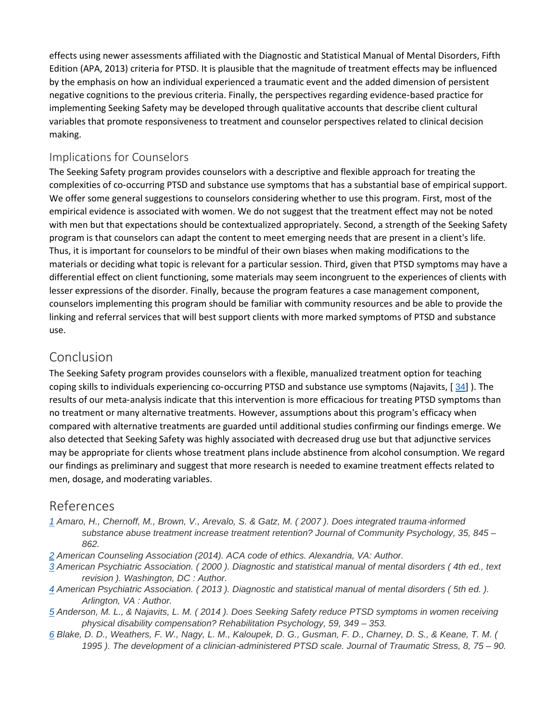effects using newer assessments affiliated with the Diagnostic and Statistical Manual of Mental Disorders, Fifth Edition (APA, 2013) criteria for PTSD. It is plausible that the magnitude of treatment effects may be influenced by the emphasis on how an individual experienced a traumatic event and the added dimension of persistent negative cognitions to the previous criteria. Finally, the perspectives regarding evidence‐based practice for implementing Seeking Safety may be developed through qualitative accounts that describe client cultural variables that promote responsiveness to treatment and counselor perspectives related to clinical decision making.

#### [Implications for Counselors](https://0-web-b-ebscohost-com.libus.csd.mu.edu/ehost/detail/detail?vid=2&sid=a0101539-e968-438e-81ee-8cef89e324e5%40pdc-v-sessmgr04&bdata=JnNpdGU9ZWhvc3QtbGl2ZQ%3d%3d#toc)

The Seeking Safety program provides counselors with a descriptive and flexible approach for treating the complexities of co‐occurring PTSD and substance use symptoms that has a substantial base of empirical support. We offer some general suggestions to counselors considering whether to use this program. First, most of the empirical evidence is associated with women. We do not suggest that the treatment effect may not be noted with men but that expectations should be contextualized appropriately. Second, a strength of the Seeking Safety program is that counselors can adapt the content to meet emerging needs that are present in a client's life. Thus, it is important for counselors to be mindful of their own biases when making modifications to the materials or deciding what topic is relevant for a particular session. Third, given that PTSD symptoms may have a differential effect on client functioning, some materials may seem incongruent to the experiences of clients with lesser expressions of the disorder. Finally, because the program features a case management component, counselors implementing this program should be familiar with community resources and be able to provide the linking and referral services that will best support clients with more marked symptoms of PTSD and substance use.

## [Conclusion](https://0-web-b-ebscohost-com.libus.csd.mu.edu/ehost/detail/detail?vid=2&sid=a0101539-e968-438e-81ee-8cef89e324e5%40pdc-v-sessmgr04&bdata=JnNpdGU9ZWhvc3QtbGl2ZQ%3d%3d#toc)

The Seeking Safety program provides counselors with a flexible, manualized treatment option for teaching coping skills to individuals experiencing co-occurring PTSD and substance use symptoms (Najavits, [[34](https://0-web-b-ebscohost-com.libus.csd.mu.edu/ehost/detail/detail?vid=2&sid=a0101539-e968-438e-81ee-8cef89e324e5%40pdc-v-sessmgr04&bdata=JnNpdGU9ZWhvc3QtbGl2ZQ%3d%3d#bib34)]). The results of our meta-analysis indicate that this intervention is more efficacious for treating PTSD symptoms than no treatment or many alternative treatments. However, assumptions about this program's efficacy when compared with alternative treatments are guarded until additional studies confirming our findings emerge. We also detected that Seeking Safety was highly associated with decreased drug use but that adjunctive services may be appropriate for clients whose treatment plans include abstinence from alcohol consumption. We regard our findings as preliminary and suggest that more research is needed to examine treatment effects related to men, dosage, and moderating variables.

## [References](https://0-web-b-ebscohost-com.libus.csd.mu.edu/ehost/detail/detail?vid=2&sid=a0101539-e968-438e-81ee-8cef89e324e5%40pdc-v-sessmgr04&bdata=JnNpdGU9ZWhvc3QtbGl2ZQ%3d%3d#toc)

- [1](https://0-web-b-ebscohost-com.libus.csd.mu.edu/ehost/detail/detail?vid=2&sid=a0101539-e968-438e-81ee-8cef89e324e5%40pdc-v-sessmgr04&bdata=JnNpdGU9ZWhvc3QtbGl2ZQ%3d%3d#bib1up) Amaro, H., Chernoff, M., Brown, V., Arevalo, S. & Gatz, M. (2007). Does integrated trauma-informed *substance abuse treatment increase treatment retention? Journal of Community Psychology, 35, 845 – 862.*
- *[2](https://0-web-b-ebscohost-com.libus.csd.mu.edu/ehost/detail/detail?vid=2&sid=a0101539-e968-438e-81ee-8cef89e324e5%40pdc-v-sessmgr04&bdata=JnNpdGU9ZWhvc3QtbGl2ZQ%3d%3d#bib2up) American Counseling Association (2014). ACA code of ethics. Alexandria, VA: Author.*
- [3](https://0-web-b-ebscohost-com.libus.csd.mu.edu/ehost/detail/detail?vid=2&sid=a0101539-e968-438e-81ee-8cef89e324e5%40pdc-v-sessmgr04&bdata=JnNpdGU9ZWhvc3QtbGl2ZQ%3d%3d#bib3up) American Psychiatric Association. (2000). Diagnostic and statistical manual of mental disorders (4th ed., text *revision ). Washington, DC : Author.*
- [4](https://0-web-b-ebscohost-com.libus.csd.mu.edu/ehost/detail/detail?vid=2&sid=a0101539-e968-438e-81ee-8cef89e324e5%40pdc-v-sessmgr04&bdata=JnNpdGU9ZWhvc3QtbGl2ZQ%3d%3d#bib4up) American Psychiatric Association. (2013). Diagnostic and statistical manual of mental disorders (5th ed.). *Arlington, VA : Author.*
- [5](https://0-web-b-ebscohost-com.libus.csd.mu.edu/ehost/detail/detail?vid=2&sid=a0101539-e968-438e-81ee-8cef89e324e5%40pdc-v-sessmgr04&bdata=JnNpdGU9ZWhvc3QtbGl2ZQ%3d%3d#bib5up) Anderson, M. L., & Najavits, L. M. (2014). Does Seeking Safety reduce PTSD symptoms in women receiving *physical disability compensation? Rehabilitation Psychology, 59, 349 – 353.*
- [6](https://0-web-b-ebscohost-com.libus.csd.mu.edu/ehost/detail/detail?vid=2&sid=a0101539-e968-438e-81ee-8cef89e324e5%40pdc-v-sessmgr04&bdata=JnNpdGU9ZWhvc3QtbGl2ZQ%3d%3d#bib6up) Blake, D. D., Weathers, F. W., Nagy, L. M., Kaloupek, D. G., Gusman, F. D., Charney, D. S., & Keane, T. M. ( 1995). The development of a clinician-administered PTSD scale. Journal of Traumatic Stress, 8, 75 - 90.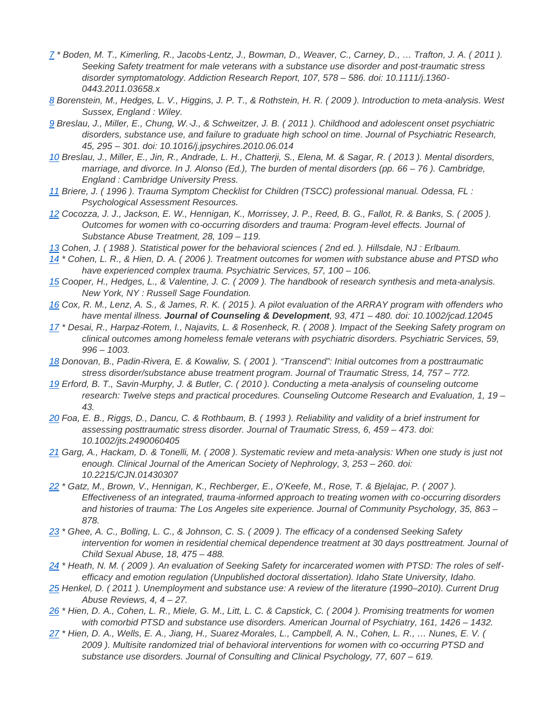- [7](https://0-web-b-ebscohost-com.libus.csd.mu.edu/ehost/detail/detail?vid=2&sid=a0101539-e968-438e-81ee-8cef89e324e5%40pdc-v-sessmgr04&bdata=JnNpdGU9ZWhvc3QtbGl2ZQ%3d%3d#bib7up)\* Boden, M. T., Kimerling, R., Jacobs-Lentz, J., Bowman, D., Weaver, C., Carney, D., ... Trafton, J. A. (2011). *Seeking Safety treatment for male veterans with a substance use disorder and post*‐*traumatic stress disorder symptomatology. Addiction Research Report, 107, 578 – 586. doi: 10.1111/j.1360*‐ *0443.2011.03658.x*
- [8](https://0-web-b-ebscohost-com.libus.csd.mu.edu/ehost/detail/detail?vid=2&sid=a0101539-e968-438e-81ee-8cef89e324e5%40pdc-v-sessmgr04&bdata=JnNpdGU9ZWhvc3QtbGl2ZQ%3d%3d#bib8up) Borenstein, M., Hedges, L. V., Higgins, J. P. T., & Rothstein, H. R. (2009). Introduction to meta-analysis. West *Sussex, England : Wiley.*
- [9](https://0-web-b-ebscohost-com.libus.csd.mu.edu/ehost/detail/detail?vid=2&sid=a0101539-e968-438e-81ee-8cef89e324e5%40pdc-v-sessmgr04&bdata=JnNpdGU9ZWhvc3QtbGl2ZQ%3d%3d#bib9up) Breslau, J., Miller, E., Chung, W.-J., & Schweitzer, J. B. (2011). Childhood and adolescent onset psychiatric *disorders, substance use, and failure to graduate high school on time. Journal of Psychiatric Research, 45, 295 – 301. doi: 10.1016/j.jpsychires.2010.06.014*
- [10](https://0-web-b-ebscohost-com.libus.csd.mu.edu/ehost/detail/detail?vid=2&sid=a0101539-e968-438e-81ee-8cef89e324e5%40pdc-v-sessmgr04&bdata=JnNpdGU9ZWhvc3QtbGl2ZQ%3d%3d#bib10up) Breslau, J., Miller, E., Jin, R., Andrade, L. H., Chatterji, S., Elena, M. & Sagar, R. (2013). Mental disorders, marriage, and divorce. In J. Alonso (Ed.), The burden of mental disorders (pp. 66 - 76). Cambridge, *England : Cambridge University Press.*
- *[11](https://0-web-b-ebscohost-com.libus.csd.mu.edu/ehost/detail/detail?vid=2&sid=a0101539-e968-438e-81ee-8cef89e324e5%40pdc-v-sessmgr04&bdata=JnNpdGU9ZWhvc3QtbGl2ZQ%3d%3d#bib11up) Briere, J. ( 1996 ). Trauma Symptom Checklist for Children (TSCC) professional manual. Odessa, FL : Psychological Assessment Resources.*
- [12](https://0-web-b-ebscohost-com.libus.csd.mu.edu/ehost/detail/detail?vid=2&sid=a0101539-e968-438e-81ee-8cef89e324e5%40pdc-v-sessmgr04&bdata=JnNpdGU9ZWhvc3QtbGl2ZQ%3d%3d#bib12up) Cocozza, J. J., Jackson, E. W., Hennigan, K., Morrissey, J. P., Reed, B. G., Fallot, R. & Banks, S. (2005). *Outcomes for women with co*‐*occurring disorders and trauma: Program*‐*level effects. Journal of Substance Abuse Treatment, 28, 109 – 119.*
- [13](https://0-web-b-ebscohost-com.libus.csd.mu.edu/ehost/detail/detail?vid=2&sid=a0101539-e968-438e-81ee-8cef89e324e5%40pdc-v-sessmgr04&bdata=JnNpdGU9ZWhvc3QtbGl2ZQ%3d%3d#bib13up) Cohen, J. (1988). Statistical power for the behavioral sciences (2nd ed.). Hillsdale, NJ: Erlbaum.
- [14](https://0-web-b-ebscohost-com.libus.csd.mu.edu/ehost/detail/detail?vid=2&sid=a0101539-e968-438e-81ee-8cef89e324e5%40pdc-v-sessmgr04&bdata=JnNpdGU9ZWhvc3QtbGl2ZQ%3d%3d#bib14up) \* Cohen, L. R., & Hien, D. A. (2006). Treatment outcomes for women with substance abuse and PTSD who *have experienced complex trauma. Psychiatric Services, 57, 100 – 106.*
- [15](https://0-web-b-ebscohost-com.libus.csd.mu.edu/ehost/detail/detail?vid=2&sid=a0101539-e968-438e-81ee-8cef89e324e5%40pdc-v-sessmgr04&bdata=JnNpdGU9ZWhvc3QtbGl2ZQ%3d%3d#bib15up) Cooper, H., Hedges, L., & Valentine, J. C. (2009). The handbook of research synthesis and meta-analysis. *New York, NY : Russell Sage Foundation.*
- [16](https://0-web-b-ebscohost-com.libus.csd.mu.edu/ehost/detail/detail?vid=2&sid=a0101539-e968-438e-81ee-8cef89e324e5%40pdc-v-sessmgr04&bdata=JnNpdGU9ZWhvc3QtbGl2ZQ%3d%3d#bib16up) Cox, R. M., Lenz, A. S., & James, R. K. (2015). A pilot evaluation of the ARRAY program with offenders who *have mental illness. Journal of Counseling & Development, 93, 471 – 480. doi: 10.1002/jcad.12045*
- [17](https://0-web-b-ebscohost-com.libus.csd.mu.edu/ehost/detail/detail?vid=2&sid=a0101539-e968-438e-81ee-8cef89e324e5%40pdc-v-sessmgr04&bdata=JnNpdGU9ZWhvc3QtbGl2ZQ%3d%3d#bib17up) \* Desai, R., Harpaz-Rotem, I., Najavits, L. & Rosenheck, R. (2008). Impact of the Seeking Safety program on *clinical outcomes among homeless female veterans with psychiatric disorders. Psychiatric Services, 59, 996 – 1003.*
- [18](https://0-web-b-ebscohost-com.libus.csd.mu.edu/ehost/detail/detail?vid=2&sid=a0101539-e968-438e-81ee-8cef89e324e5%40pdc-v-sessmgr04&bdata=JnNpdGU9ZWhvc3QtbGl2ZQ%3d%3d#bib18up) Donovan, B., Padin-Rivera, E. & Kowaliw, S. (2001). "Transcend": Initial outcomes from a posttraumatic *stress disorder/substance abuse treatment program. Journal of Traumatic Stress, 14, 757 – 772.*
- [19](https://0-web-b-ebscohost-com.libus.csd.mu.edu/ehost/detail/detail?vid=2&sid=a0101539-e968-438e-81ee-8cef89e324e5%40pdc-v-sessmgr04&bdata=JnNpdGU9ZWhvc3QtbGl2ZQ%3d%3d#bib19up) Erford, B. T., Savin-Murphy, J. & Butler, C. (2010). Conducting a meta-analysis of counseling outcome *research: Twelve steps and practical procedures. Counseling Outcome Research and Evaluation, 1, 19 – 43.*
- [20](https://0-web-b-ebscohost-com.libus.csd.mu.edu/ehost/detail/detail?vid=2&sid=a0101539-e968-438e-81ee-8cef89e324e5%40pdc-v-sessmgr04&bdata=JnNpdGU9ZWhvc3QtbGl2ZQ%3d%3d#bib20up) Foa, E. B., Riggs, D., Dancu, C. & Rothbaum, B. (1993). Reliability and validity of a brief instrument for *assessing posttraumatic stress disorder. Journal of Traumatic Stress, 6, 459 – 473. doi: 10.1002/jts.2490060405*
- [21](https://0-web-b-ebscohost-com.libus.csd.mu.edu/ehost/detail/detail?vid=2&sid=a0101539-e968-438e-81ee-8cef89e324e5%40pdc-v-sessmgr04&bdata=JnNpdGU9ZWhvc3QtbGl2ZQ%3d%3d#bib21up) Garg, A., Hackam, D. & Tonelli, M. (2008). Systematic review and meta-analysis: When one study is just not *enough. Clinical Journal of the American Society of Nephrology, 3, 253 – 260. doi: 10.2215/CJN.01430307*
- [22](https://0-web-b-ebscohost-com.libus.csd.mu.edu/ehost/detail/detail?vid=2&sid=a0101539-e968-438e-81ee-8cef89e324e5%40pdc-v-sessmgr04&bdata=JnNpdGU9ZWhvc3QtbGl2ZQ%3d%3d#bib22up) \* Gatz, M., Brown, V., Hennigan, K., Rechberger, E., O'Keefe, M., Rose, T. & Bjelajac, P. (2007). *Effectiveness of an integrated, trauma*‐*informed approach to treating women with co*‐*occurring disorders and histories of trauma: The Los Angeles site experience. Journal of Community Psychology, 35, 863 – 878.*
- [23](https://0-web-b-ebscohost-com.libus.csd.mu.edu/ehost/detail/detail?vid=2&sid=a0101539-e968-438e-81ee-8cef89e324e5%40pdc-v-sessmgr04&bdata=JnNpdGU9ZWhvc3QtbGl2ZQ%3d%3d#bib23up) \* Ghee, A. C., Bolling, L. C., & Johnson, C. S. (2009). The efficacy of a condensed Seeking Safety *intervention for women in residential chemical dependence treatment at 30 days posttreatment. Journal of Child Sexual Abuse, 18, 475 – 488.*
- [24](https://0-web-b-ebscohost-com.libus.csd.mu.edu/ehost/detail/detail?vid=2&sid=a0101539-e968-438e-81ee-8cef89e324e5%40pdc-v-sessmgr04&bdata=JnNpdGU9ZWhvc3QtbGl2ZQ%3d%3d#bib24up) \* Heath, N. M. (2009). An evaluation of Seeking Safety for incarcerated women with PTSD: The roles of self*efficacy and emotion regulation (Unpublished doctoral dissertation). Idaho State University, Idaho.*
- [25](https://0-web-b-ebscohost-com.libus.csd.mu.edu/ehost/detail/detail?vid=2&sid=a0101539-e968-438e-81ee-8cef89e324e5%40pdc-v-sessmgr04&bdata=JnNpdGU9ZWhvc3QtbGl2ZQ%3d%3d#bib25up) Henkel, D. (2011). Unemployment and substance use: A review of the literature (1990–2010). Current Drug *Abuse Reviews, 4, 4 – 27.*
- [26](https://0-web-b-ebscohost-com.libus.csd.mu.edu/ehost/detail/detail?vid=2&sid=a0101539-e968-438e-81ee-8cef89e324e5%40pdc-v-sessmgr04&bdata=JnNpdGU9ZWhvc3QtbGl2ZQ%3d%3d#bib26up)<sup>\*</sup> Hien, D. A., Cohen, L. R., Miele, G. M., Litt, L. C. & Capstick, C. (2004). Promising treatments for women *with comorbid PTSD and substance use disorders. American Journal of Psychiatry, 161, 1426 – 1432.*
- [27](https://0-web-b-ebscohost-com.libus.csd.mu.edu/ehost/detail/detail?vid=2&sid=a0101539-e968-438e-81ee-8cef89e324e5%40pdc-v-sessmgr04&bdata=JnNpdGU9ZWhvc3QtbGl2ZQ%3d%3d#bib27up) \* Hien, D. A., Wells, E. A., Jiang, H., Suarez-Morales, L., Campbell, A. N., Cohen, L. R., ... Nunes, E. V. ( *2009 ). Multisite randomized trial of behavioral interventions for women with co*‐*occurring PTSD and substance use disorders. Journal of Consulting and Clinical Psychology, 77, 607 – 619.*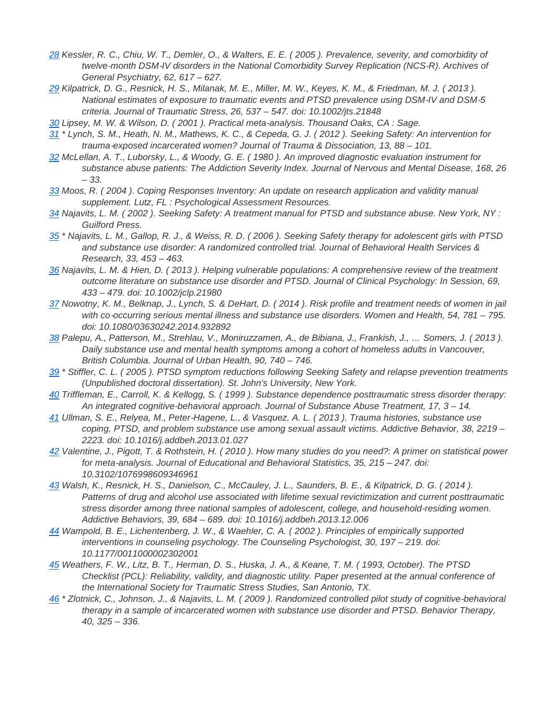- [28](https://0-web-b-ebscohost-com.libus.csd.mu.edu/ehost/detail/detail?vid=2&sid=a0101539-e968-438e-81ee-8cef89e324e5%40pdc-v-sessmgr04&bdata=JnNpdGU9ZWhvc3QtbGl2ZQ%3d%3d#bib28up) Kessler, R. C., Chiu, W. T., Demler, O., & Walters, E. E. (2005). Prevalence, severity, and comorbidity of *twelve*‐*month DSM*‐*IV disorders in the National Comorbidity Survey Replication (NCS*‐*R). Archives of General Psychiatry, 62, 617 – 627.*
- [29](https://0-web-b-ebscohost-com.libus.csd.mu.edu/ehost/detail/detail?vid=2&sid=a0101539-e968-438e-81ee-8cef89e324e5%40pdc-v-sessmgr04&bdata=JnNpdGU9ZWhvc3QtbGl2ZQ%3d%3d#bib29up) Kilpatrick, D. G., Resnick, H. S., Milanak, M. E., Miller, M. W., Keyes, K. M., & Friedman, M. J. (2013). *National estimates of exposure to traumatic events and PTSD prevalence using DSM*‐*IV and DSM*‐*5 criteria. Journal of Traumatic Stress, 26, 537 – 547. doi: 10.1002/jts.21848*
- *[30](https://0-web-b-ebscohost-com.libus.csd.mu.edu/ehost/detail/detail?vid=2&sid=a0101539-e968-438e-81ee-8cef89e324e5%40pdc-v-sessmgr04&bdata=JnNpdGU9ZWhvc3QtbGl2ZQ%3d%3d#bib30up) Lipsey, M. W. & Wilson, D. ( 2001 ). Practical meta*‐*analysis. Thousand Oaks, CA : Sage.*
- [31](https://0-web-b-ebscohost-com.libus.csd.mu.edu/ehost/detail/detail?vid=2&sid=a0101539-e968-438e-81ee-8cef89e324e5%40pdc-v-sessmgr04&bdata=JnNpdGU9ZWhvc3QtbGl2ZQ%3d%3d#bib31up) \* Lynch, S. M., Heath, N. M., Mathews, K. C., & Cepeda, G. J. (2012). Seeking Safety: An intervention for *trauma*‐*exposed incarcerated women? Journal of Trauma & Dissociation, 13, 88 – 101.*
- [32](https://0-web-b-ebscohost-com.libus.csd.mu.edu/ehost/detail/detail?vid=2&sid=a0101539-e968-438e-81ee-8cef89e324e5%40pdc-v-sessmgr04&bdata=JnNpdGU9ZWhvc3QtbGl2ZQ%3d%3d#bib32up) McLellan, A. T., Luborsky, L., & Woody, G. E. (1980). An improved diagnostic evaluation instrument for *substance abuse patients: The Addiction Severity Index. Journal of Nervous and Mental Disease, 168, 26 – 33.*
- *[33](https://0-web-b-ebscohost-com.libus.csd.mu.edu/ehost/detail/detail?vid=2&sid=a0101539-e968-438e-81ee-8cef89e324e5%40pdc-v-sessmgr04&bdata=JnNpdGU9ZWhvc3QtbGl2ZQ%3d%3d#bib33up) Moos, R. ( 2004 ). Coping Responses Inventory: An update on research application and validity manual supplement. Lutz, FL : Psychological Assessment Resources.*
- [34](https://0-web-b-ebscohost-com.libus.csd.mu.edu/ehost/detail/detail?vid=2&sid=a0101539-e968-438e-81ee-8cef89e324e5%40pdc-v-sessmgr04&bdata=JnNpdGU9ZWhvc3QtbGl2ZQ%3d%3d#bib34up) Najavits, L. M. (2002). Seeking Safety: A treatment manual for PTSD and substance abuse. New York, NY: *Guilford Press.*
- [35](https://0-web-b-ebscohost-com.libus.csd.mu.edu/ehost/detail/detail?vid=2&sid=a0101539-e968-438e-81ee-8cef89e324e5%40pdc-v-sessmgr04&bdata=JnNpdGU9ZWhvc3QtbGl2ZQ%3d%3d#bib35up)<sup>\*</sup> Najavits, L. M., Gallop, R. J., & Weiss, R. D. (2006). Seeking Safety therapy for adolescent girls with PTSD *and substance use disorder: A randomized controlled trial. Journal of Behavioral Health Services & Research, 33, 453 – 463.*
- [36](https://0-web-b-ebscohost-com.libus.csd.mu.edu/ehost/detail/detail?vid=2&sid=a0101539-e968-438e-81ee-8cef89e324e5%40pdc-v-sessmgr04&bdata=JnNpdGU9ZWhvc3QtbGl2ZQ%3d%3d#bib36up) Najavits, L. M. & Hien, D. (2013). Helping vulnerable populations: A comprehensive review of the treatment *outcome literature on substance use disorder and PTSD. Journal of Clinical Psychology: In Session, 69, 433 – 479. doi: 10.1002/jclp.21980*
- [37](https://0-web-b-ebscohost-com.libus.csd.mu.edu/ehost/detail/detail?vid=2&sid=a0101539-e968-438e-81ee-8cef89e324e5%40pdc-v-sessmgr04&bdata=JnNpdGU9ZWhvc3QtbGl2ZQ%3d%3d#bib37up) Nowotny, K. M., Belknap, J., Lynch, S. & DeHart, D. (2014). Risk profile and treatment needs of women in jail *with co*‐*occurring serious mental illness and substance use disorders. Women and Health, 54, 781 – 795. doi: 10.1080/03630242.2014.932892*
- [38](https://0-web-b-ebscohost-com.libus.csd.mu.edu/ehost/detail/detail?vid=2&sid=a0101539-e968-438e-81ee-8cef89e324e5%40pdc-v-sessmgr04&bdata=JnNpdGU9ZWhvc3QtbGl2ZQ%3d%3d#bib38up) Palepu, A., Patterson, M., Strehlau, V., Moniruzzamen, A., de Bibiana, J., Frankish, J., ... Somers, J. (2013). *Daily substance use and mental health symptoms among a cohort of homeless adults in Vancouver, British Columbia. Journal of Urban Health, 90, 740 – 746.*
- [39](https://0-web-b-ebscohost-com.libus.csd.mu.edu/ehost/detail/detail?vid=2&sid=a0101539-e968-438e-81ee-8cef89e324e5%40pdc-v-sessmgr04&bdata=JnNpdGU9ZWhvc3QtbGl2ZQ%3d%3d#bib39up) \* Stiffler, C. L. (2005). PTSD symptom reductions following Seeking Safety and relapse prevention treatments *(Unpublished doctoral dissertation). St. John's University, New York.*
- [40](https://0-web-b-ebscohost-com.libus.csd.mu.edu/ehost/detail/detail?vid=2&sid=a0101539-e968-438e-81ee-8cef89e324e5%40pdc-v-sessmgr04&bdata=JnNpdGU9ZWhvc3QtbGl2ZQ%3d%3d#bib40up) Triffleman, E., Carroll, K. & Kellogg, S. (1999). Substance dependence posttraumatic stress disorder therapy: *An integrated cognitive*‐*behavioral approach. Journal of Substance Abuse Treatment, 17, 3 – 14.*
- [41](https://0-web-b-ebscohost-com.libus.csd.mu.edu/ehost/detail/detail?vid=2&sid=a0101539-e968-438e-81ee-8cef89e324e5%40pdc-v-sessmgr04&bdata=JnNpdGU9ZWhvc3QtbGl2ZQ%3d%3d#bib41up) Ullman, S. E., Relyea, M., Peter-Hagene, L., & Vasquez, A. L. (2013). Trauma histories, substance use *coping, PTSD, and problem substance use among sexual assault victims. Addictive Behavior, 38, 2219 – 2223. doi: 10.1016/j.addbeh.2013.01.027*
- [42](https://0-web-b-ebscohost-com.libus.csd.mu.edu/ehost/detail/detail?vid=2&sid=a0101539-e968-438e-81ee-8cef89e324e5%40pdc-v-sessmgr04&bdata=JnNpdGU9ZWhvc3QtbGl2ZQ%3d%3d#bib42up) Valentine, J., Pigott, T. & Rothstein, H. (2010). How many studies do you need?: A primer on statistical power *for meta*‐*analysis. Journal of Educational and Behavioral Statistics, 35, 215 – 247. doi: 10.3102/1076998609346961*
- [43](https://0-web-b-ebscohost-com.libus.csd.mu.edu/ehost/detail/detail?vid=2&sid=a0101539-e968-438e-81ee-8cef89e324e5%40pdc-v-sessmgr04&bdata=JnNpdGU9ZWhvc3QtbGl2ZQ%3d%3d#bib43up) Walsh, K., Resnick, H. S., Danielson, C., McCauley, J. L., Saunders, B. E., & Kilpatrick, D. G. (2014). *Patterns of drug and alcohol use associated with lifetime sexual revictimization and current posttraumatic stress disorder among three national samples of adolescent, college, and household*‐*residing women. Addictive Behaviors, 39, 684 – 689. doi: 10.1016/j.addbeh.2013.12.006*
- [44](https://0-web-b-ebscohost-com.libus.csd.mu.edu/ehost/detail/detail?vid=2&sid=a0101539-e968-438e-81ee-8cef89e324e5%40pdc-v-sessmgr04&bdata=JnNpdGU9ZWhvc3QtbGl2ZQ%3d%3d#bib44up) Wampold, B. E., Lichentenberg, J. W., & Waehler, C. A. (2002). Principles of empirically supported *interventions in counseling psychology. The Counseling Psychologist, 30, 197 – 219. doi: 10.1177/0011000002302001*
- [45](https://0-web-b-ebscohost-com.libus.csd.mu.edu/ehost/detail/detail?vid=2&sid=a0101539-e968-438e-81ee-8cef89e324e5%40pdc-v-sessmgr04&bdata=JnNpdGU9ZWhvc3QtbGl2ZQ%3d%3d#bib45up) Weathers, F. W., Litz, B. T., Herman, D. S., Huska, J. A., & Keane, T. M. (1993, October). The PTSD *Checklist (PCL): Reliability, validity, and diagnostic utility. Paper presented at the annual conference of the International Society for Traumatic Stress Studies, San Antonio, TX.*
- [46](https://0-web-b-ebscohost-com.libus.csd.mu.edu/ehost/detail/detail?vid=2&sid=a0101539-e968-438e-81ee-8cef89e324e5%40pdc-v-sessmgr04&bdata=JnNpdGU9ZWhvc3QtbGl2ZQ%3d%3d#bib46up) \* Zlotnick, C., Johnson, J., & Najavits, L. M. (2009). Randomized controlled pilot study of cognitive-behavioral *therapy in a sample of incarcerated women with substance use disorder and PTSD. Behavior Therapy, 40, 325 – 336.*